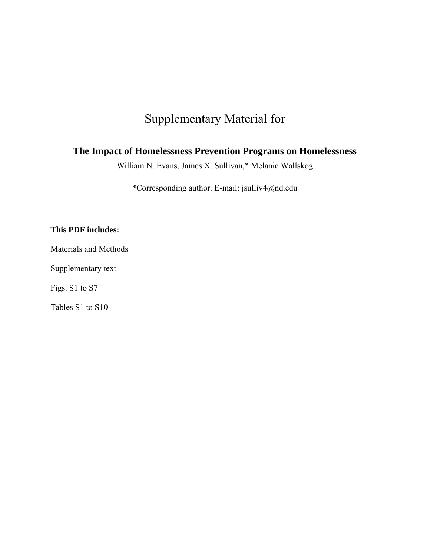# Supplementary Material for

# **The Impact of Homelessness Prevention Programs on Homelessness**

William N. Evans, James X. Sullivan,\* Melanie Wallskog

\*Corresponding author. E-mail: jsulliv4@nd.edu

# **This PDF includes:**

Materials and Methods

Supplementary text

Figs. S1 to S7

Tables S1 to S10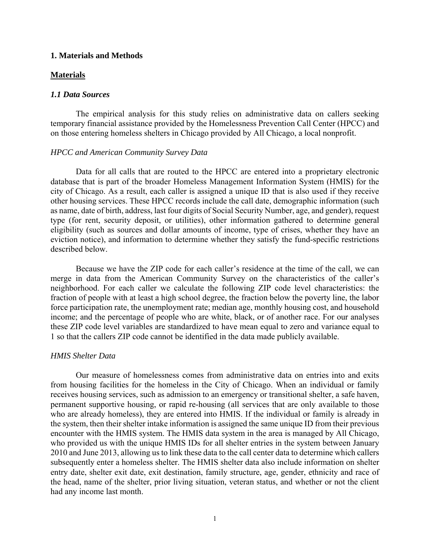#### **1. Materials and Methods**

### **Materials**

# *1.1 Data Sources*

The empirical analysis for this study relies on administrative data on callers seeking temporary financial assistance provided by the Homelessness Prevention Call Center (HPCC) and on those entering homeless shelters in Chicago provided by All Chicago, a local nonprofit.

#### *HPCC and American Community Survey Data*

Data for all calls that are routed to the HPCC are entered into a proprietary electronic database that is part of the broader Homeless Management Information System (HMIS) for the city of Chicago. As a result, each caller is assigned a unique ID that is also used if they receive other housing services. These HPCC records include the call date, demographic information (such as name, date of birth, address, last four digits of Social Security Number, age, and gender), request type (for rent, security deposit, or utilities), other information gathered to determine general eligibility (such as sources and dollar amounts of income, type of crises, whether they have an eviction notice), and information to determine whether they satisfy the fund-specific restrictions described below.

Because we have the ZIP code for each caller's residence at the time of the call, we can merge in data from the American Community Survey on the characteristics of the caller's neighborhood. For each caller we calculate the following ZIP code level characteristics: the fraction of people with at least a high school degree, the fraction below the poverty line, the labor force participation rate, the unemployment rate; median age, monthly housing cost, and household income; and the percentage of people who are white, black, or of another race. For our analyses these ZIP code level variables are standardized to have mean equal to zero and variance equal to 1 so that the callers ZIP code cannot be identified in the data made publicly available.

#### *HMIS Shelter Data*

Our measure of homelessness comes from administrative data on entries into and exits from housing facilities for the homeless in the City of Chicago. When an individual or family receives housing services, such as admission to an emergency or transitional shelter, a safe haven, permanent supportive housing, or rapid re-housing (all services that are only available to those who are already homeless), they are entered into HMIS. If the individual or family is already in the system, then their shelter intake information is assigned the same unique ID from their previous encounter with the HMIS system. The HMIS data system in the area is managed by All Chicago, who provided us with the unique HMIS IDs for all shelter entries in the system between January 2010 and June 2013, allowing us to link these data to the call center data to determine which callers subsequently enter a homeless shelter. The HMIS shelter data also include information on shelter entry date, shelter exit date, exit destination, family structure, age, gender, ethnicity and race of the head, name of the shelter, prior living situation, veteran status, and whether or not the client had any income last month.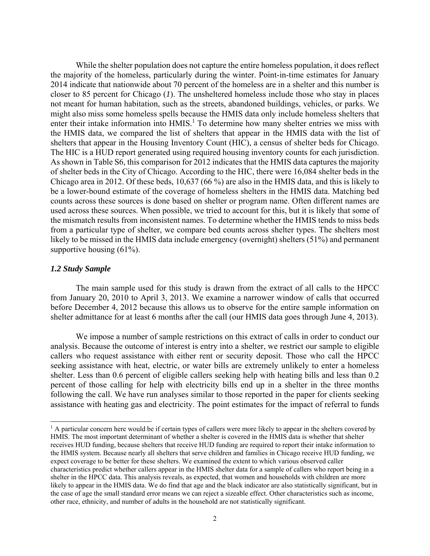While the shelter population does not capture the entire homeless population, it does reflect the majority of the homeless, particularly during the winter. Point-in-time estimates for January 2014 indicate that nationwide about 70 percent of the homeless are in a shelter and this number is closer to 85 percent for Chicago (*1*). The unsheltered homeless include those who stay in places not meant for human habitation, such as the streets, abandoned buildings, vehicles, or parks. We might also miss some homeless spells because the HMIS data only include homeless shelters that enter their intake information into HMIS.<sup>1</sup> To determine how many shelter entries we miss with the HMIS data, we compared the list of shelters that appear in the HMIS data with the list of shelters that appear in the Housing Inventory Count (HIC), a census of shelter beds for Chicago. The HIC is a HUD report generated using required housing inventory counts for each jurisdiction. As shown in Table S6, this comparison for 2012 indicates that the HMIS data captures the majority of shelter beds in the City of Chicago. According to the HIC, there were 16,084 shelter beds in the Chicago area in 2012. Of these beds, 10,637 (66 %) are also in the HMIS data, and this is likely to be a lower-bound estimate of the coverage of homeless shelters in the HMIS data. Matching bed counts across these sources is done based on shelter or program name. Often different names are used across these sources. When possible, we tried to account for this, but it is likely that some of the mismatch results from inconsistent names. To determine whether the HMIS tends to miss beds from a particular type of shelter, we compare bed counts across shelter types. The shelters most likely to be missed in the HMIS data include emergency (overnight) shelters (51%) and permanent supportive housing (61%).

#### *1.2 Study Sample*

 $\overline{\phantom{a}}$ 

 The main sample used for this study is drawn from the extract of all calls to the HPCC from January 20, 2010 to April 3, 2013. We examine a narrower window of calls that occurred before December 4, 2012 because this allows us to observe for the entire sample information on shelter admittance for at least 6 months after the call (our HMIS data goes through June 4, 2013).

We impose a number of sample restrictions on this extract of calls in order to conduct our analysis. Because the outcome of interest is entry into a shelter, we restrict our sample to eligible callers who request assistance with either rent or security deposit. Those who call the HPCC seeking assistance with heat, electric, or water bills are extremely unlikely to enter a homeless shelter. Less than 0.6 percent of eligible callers seeking help with heating bills and less than 0.2 percent of those calling for help with electricity bills end up in a shelter in the three months following the call. We have run analyses similar to those reported in the paper for clients seeking assistance with heating gas and electricity. The point estimates for the impact of referral to funds

<sup>&</sup>lt;sup>1</sup> A particular concern here would be if certain types of callers were more likely to appear in the shelters covered by HMIS. The most important determinant of whether a shelter is covered in the HMIS data is whether that shelter receives HUD funding, because shelters that receive HUD funding are required to report their intake information to the HMIS system. Because nearly all shelters that serve children and families in Chicago receive HUD funding, we expect coverage to be better for these shelters. We examined the extent to which various observed caller characteristics predict whether callers appear in the HMIS shelter data for a sample of callers who report being in a shelter in the HPCC data. This analysis reveals, as expected, that women and households with children are more likely to appear in the HMIS data. We do find that age and the black indicator are also statistically significant, but in the case of age the small standard error means we can reject a sizeable effect. Other characteristics such as income, other race, ethnicity, and number of adults in the household are not statistically significant.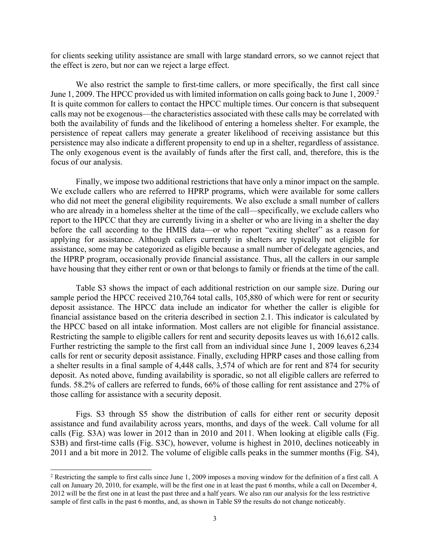for clients seeking utility assistance are small with large standard errors, so we cannot reject that the effect is zero, but nor can we reject a large effect.

We also restrict the sample to first-time callers, or more specifically, the first call since June 1, 2009. The HPCC provided us with limited information on calls going back to June 1, 2009.<sup>2</sup> It is quite common for callers to contact the HPCC multiple times. Our concern is that subsequent calls may not be exogenous—the characteristics associated with these calls may be correlated with both the availability of funds and the likelihood of entering a homeless shelter. For example, the persistence of repeat callers may generate a greater likelihood of receiving assistance but this persistence may also indicate a different propensity to end up in a shelter, regardless of assistance. The only exogenous event is the availably of funds after the first call, and, therefore, this is the focus of our analysis.

Finally, we impose two additional restrictions that have only a minor impact on the sample. We exclude callers who are referred to HPRP programs, which were available for some callers who did not meet the general eligibility requirements. We also exclude a small number of callers who are already in a homeless shelter at the time of the call—specifically, we exclude callers who report to the HPCC that they are currently living in a shelter or who are living in a shelter the day before the call according to the HMIS data—or who report "exiting shelter" as a reason for applying for assistance. Although callers currently in shelters are typically not eligible for assistance, some may be categorized as eligible because a small number of delegate agencies, and the HPRP program, occasionally provide financial assistance. Thus, all the callers in our sample have housing that they either rent or own or that belongs to family or friends at the time of the call.

Table S3 shows the impact of each additional restriction on our sample size. During our sample period the HPCC received 210,764 total calls, 105,880 of which were for rent or security deposit assistance. The HPCC data include an indicator for whether the caller is eligible for financial assistance based on the criteria described in section 2.1. This indicator is calculated by the HPCC based on all intake information. Most callers are not eligible for financial assistance. Restricting the sample to eligible callers for rent and security deposits leaves us with 16,612 calls. Further restricting the sample to the first call from an individual since June 1, 2009 leaves 6,234 calls for rent or security deposit assistance. Finally, excluding HPRP cases and those calling from a shelter results in a final sample of 4,448 calls, 3,574 of which are for rent and 874 for security deposit. As noted above, funding availability is sporadic, so not all eligible callers are referred to funds. 58.2% of callers are referred to funds, 66% of those calling for rent assistance and 27% of those calling for assistance with a security deposit.

Figs. S3 through S5 show the distribution of calls for either rent or security deposit assistance and fund availability across years, months, and days of the week. Call volume for all calls (Fig. S3A) was lower in 2012 than in 2010 and 2011. When looking at eligible calls (Fig. S3B) and first-time calls (Fig. S3C), however, volume is highest in 2010, declines noticeably in 2011 and a bit more in 2012. The volume of eligible calls peaks in the summer months (Fig. S4),

 $\overline{\phantom{a}}$ 

<sup>&</sup>lt;sup>2</sup> Restricting the sample to first calls since June 1, 2009 imposes a moving window for the definition of a first call. A call on January 20, 2010, for example, will be the first one in at least the past 6 months, while a call on December 4, 2012 will be the first one in at least the past three and a half years. We also ran our analysis for the less restrictive sample of first calls in the past 6 months, and, as shown in Table S9 the results do not change noticeably.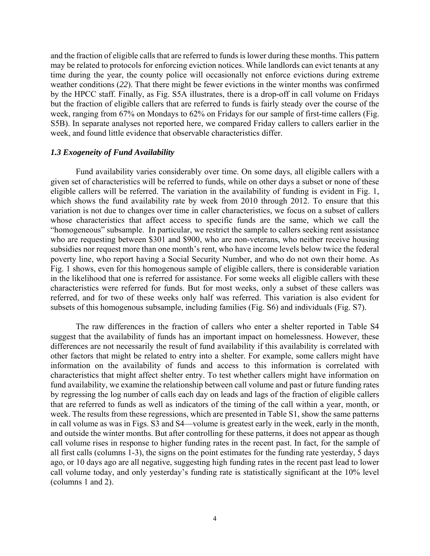and the fraction of eligible calls that are referred to funds is lower during these months. This pattern may be related to protocols for enforcing eviction notices. While landlords can evict tenants at any time during the year, the county police will occasionally not enforce evictions during extreme weather conditions (*22*). That there might be fewer evictions in the winter months was confirmed by the HPCC staff. Finally, as Fig. S5A illustrates, there is a drop-off in call volume on Fridays but the fraction of eligible callers that are referred to funds is fairly steady over the course of the week, ranging from 67% on Mondays to 62% on Fridays for our sample of first-time callers (Fig. S5B). In separate analyses not reported here, we compared Friday callers to callers earlier in the week, and found little evidence that observable characteristics differ.

# *1.3 Exogeneity of Fund Availability*

Fund availability varies considerably over time. On some days, all eligible callers with a given set of characteristics will be referred to funds, while on other days a subset or none of these eligible callers will be referred. The variation in the availability of funding is evident in Fig. 1, which shows the fund availability rate by week from 2010 through 2012. To ensure that this variation is not due to changes over time in caller characteristics, we focus on a subset of callers whose characteristics that affect access to specific funds are the same, which we call the "homogeneous" subsample. In particular, we restrict the sample to callers seeking rent assistance who are requesting between \$301 and \$900, who are non-veterans, who neither receive housing subsidies nor request more than one month's rent, who have income levels below twice the federal poverty line, who report having a Social Security Number, and who do not own their home. As Fig. 1 shows, even for this homogenous sample of eligible callers, there is considerable variation in the likelihood that one is referred for assistance. For some weeks all eligible callers with these characteristics were referred for funds. But for most weeks, only a subset of these callers was referred, and for two of these weeks only half was referred. This variation is also evident for subsets of this homogenous subsample, including families (Fig. S6) and individuals (Fig. S7).

The raw differences in the fraction of callers who enter a shelter reported in Table S4 suggest that the availability of funds has an important impact on homelessness. However, these differences are not necessarily the result of fund availability if this availability is correlated with other factors that might be related to entry into a shelter. For example, some callers might have information on the availability of funds and access to this information is correlated with characteristics that might affect shelter entry. To test whether callers might have information on fund availability, we examine the relationship between call volume and past or future funding rates by regressing the log number of calls each day on leads and lags of the fraction of eligible callers that are referred to funds as well as indicators of the timing of the call within a year, month, or week. The results from these regressions, which are presented in Table S1, show the same patterns in call volume as was in Figs. S3 and S4—volume is greatest early in the week, early in the month, and outside the winter months. But after controlling for these patterns, it does not appear as though call volume rises in response to higher funding rates in the recent past. In fact, for the sample of all first calls (columns 1-3), the signs on the point estimates for the funding rate yesterday, 5 days ago, or 10 days ago are all negative, suggesting high funding rates in the recent past lead to lower call volume today, and only yesterday's funding rate is statistically significant at the 10% level (columns 1 and 2).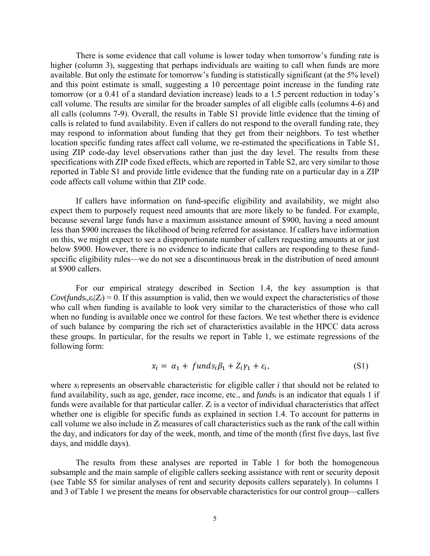There is some evidence that call volume is lower today when tomorrow's funding rate is higher (column 3), suggesting that perhaps individuals are waiting to call when funds are more available. But only the estimate for tomorrow's funding is statistically significant (at the 5% level) and this point estimate is small, suggesting a 10 percentage point increase in the funding rate tomorrow (or a 0.41 of a standard deviation increase) leads to a 1.5 percent reduction in today's call volume. The results are similar for the broader samples of all eligible calls (columns 4-6) and all calls (columns 7-9). Overall, the results in Table S1 provide little evidence that the timing of calls is related to fund availability. Even if callers do not respond to the overall funding rate, they may respond to information about funding that they get from their neighbors. To test whether location specific funding rates affect call volume, we re-estimated the specifications in Table S1, using ZIP code-day level observations rather than just the day level. The results from these specifications with ZIP code fixed effects, which are reported in Table S2, are very similar to those reported in Table S1 and provide little evidence that the funding rate on a particular day in a ZIP code affects call volume within that ZIP code.

If callers have information on fund-specific eligibility and availability, we might also expect them to purposely request need amounts that are more likely to be funded. For example, because several large funds have a maximum assistance amount of \$900, having a need amount less than \$900 increases the likelihood of being referred for assistance. If callers have information on this, we might expect to see a disproportionate number of callers requesting amounts at or just below \$900. However, there is no evidence to indicate that callers are responding to these fundspecific eligibility rules—we do not see a discontinuous break in the distribution of need amount at \$900 callers.

For our empirical strategy described in Section 1.4, the key assumption is that  $Cov(funds_i, \varepsilon_i | Z_i) = 0$ . If this assumption is valid, then we would expect the characteristics of those who call when funding is available to look very similar to the characteristics of those who call when no funding is available once we control for these factors. We test whether there is evidence of such balance by comparing the rich set of characteristics available in the HPCC data across these groups. In particular, for the results we report in Table 1, we estimate regressions of the following form:

$$
x_i = \alpha_1 + \text{funds}_i \beta_1 + Z_i \gamma_1 + \varepsilon_i, \tag{S1}
$$

where  $x_i$  represents an observable characteristic for eligible caller  $i$  that should not be related to fund availability, such as age, gender, race income, etc., and *fundsi* is an indicator that equals 1 if funds were available for that particular caller. *Zi* is a vector of individual characteristics that affect whether one is eligible for specific funds as explained in section 1.4. To account for patterns in call volume we also include in *Zi* measures of call characteristics such as the rank of the call within the day, and indicators for day of the week, month, and time of the month (first five days, last five days, and middle days).

 The results from these analyses are reported in Table 1 for both the homogeneous subsample and the main sample of eligible callers seeking assistance with rent or security deposit (see Table S5 for similar analyses of rent and security deposits callers separately). In columns 1 and 3 of Table 1 we present the means for observable characteristics for our control group—callers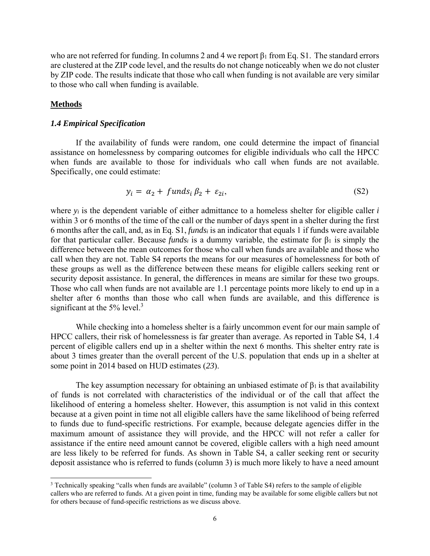who are not referred for funding. In columns 2 and 4 we report  $\beta_1$  from Eq. S1. The standard errors are clustered at the ZIP code level, and the results do not change noticeably when we do not cluster by ZIP code. The results indicate that those who call when funding is not available are very similar to those who call when funding is available.

# **Methods**

l

# *1.4 Empirical Specification*

If the availability of funds were random, one could determine the impact of financial assistance on homelessness by comparing outcomes for eligible individuals who call the HPCC when funds are available to those for individuals who call when funds are not available. Specifically, one could estimate:

$$
y_i = \alpha_2 + \text{funds}_i \beta_2 + \varepsilon_{2i}, \tag{S2}
$$

where *yi* is the dependent variable of either admittance to a homeless shelter for eligible caller *i* within 3 or 6 months of the time of the call or the number of days spent in a shelter during the first 6 months after the call, and, as in Eq. S1, *fundsi* is an indicator that equals 1 if funds were available for that particular caller. Because *fundsi* is a dummy variable, the estimate for  $\beta_1$  is simply the difference between the mean outcomes for those who call when funds are available and those who call when they are not. Table S4 reports the means for our measures of homelessness for both of these groups as well as the difference between these means for eligible callers seeking rent or security deposit assistance. In general, the differences in means are similar for these two groups. Those who call when funds are not available are 1.1 percentage points more likely to end up in a shelter after 6 months than those who call when funds are available, and this difference is significant at the  $5\%$  level.<sup>3</sup>

While checking into a homeless shelter is a fairly uncommon event for our main sample of HPCC callers, their risk of homelessness is far greater than average. As reported in Table S4, 1.4 percent of eligible callers end up in a shelter within the next 6 months. This shelter entry rate is about 3 times greater than the overall percent of the U.S. population that ends up in a shelter at some point in 2014 based on HUD estimates (*23*).

The key assumption necessary for obtaining an unbiased estimate of  $\beta_1$  is that availability of funds is not correlated with characteristics of the individual or of the call that affect the likelihood of entering a homeless shelter. However, this assumption is not valid in this context because at a given point in time not all eligible callers have the same likelihood of being referred to funds due to fund-specific restrictions. For example, because delegate agencies differ in the maximum amount of assistance they will provide, and the HPCC will not refer a caller for assistance if the entire need amount cannot be covered, eligible callers with a high need amount are less likely to be referred for funds. As shown in Table S4, a caller seeking rent or security deposit assistance who is referred to funds (column 3) is much more likely to have a need amount

<sup>&</sup>lt;sup>3</sup> Technically speaking "calls when funds are available" (column 3 of Table S4) refers to the sample of eligible callers who are referred to funds. At a given point in time, funding may be available for some eligible callers but not for others because of fund-specific restrictions as we discuss above.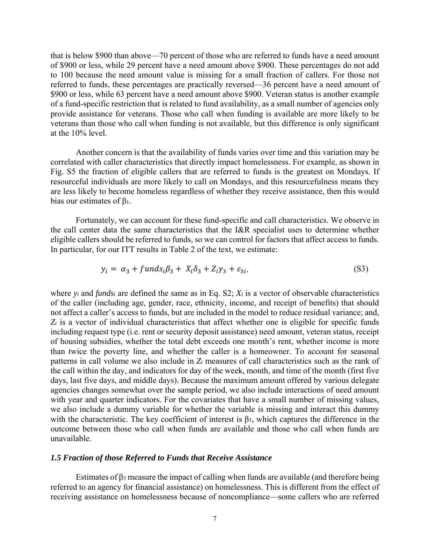that is below \$900 than above—70 percent of those who are referred to funds have a need amount of \$900 or less, while 29 percent have a need amount above \$900. These percentages do not add to 100 because the need amount value is missing for a small fraction of callers. For those not referred to funds, these percentages are practically reversed—36 percent have a need amount of \$900 or less, while 63 percent have a need amount above \$900. Veteran status is another example of a fund-specific restriction that is related to fund availability, as a small number of agencies only provide assistance for veterans. Those who call when funding is available are more likely to be veterans than those who call when funding is not available, but this difference is only significant at the 10% level.

Another concern is that the availability of funds varies over time and this variation may be correlated with caller characteristics that directly impact homelessness. For example, as shown in Fig. S5 the fraction of eligible callers that are referred to funds is the greatest on Mondays. If resourceful individuals are more likely to call on Mondays, and this resourcefulness means they are less likely to become homeless regardless of whether they receive assistance, then this would bias our estimates of  $\beta_1$ .

Fortunately, we can account for these fund-specific and call characteristics. We observe in the call center data the same characteristics that the I&R specialist uses to determine whether eligible callers should be referred to funds, so we can control for factors that affect access to funds. In particular, for our ITT results in Table 2 of the text, we estimate:

$$
y_i = \alpha_3 + funds_i\beta_3 + X_i\delta_3 + Z_i\gamma_3 + \varepsilon_{3i},\tag{S3}
$$

where *yi* and *fundsi* are defined the same as in Eq. S2; *Xi* is a vector of observable characteristics of the caller (including age, gender, race, ethnicity, income, and receipt of benefits) that should not affect a caller's access to funds, but are included in the model to reduce residual variance; and, *Zi* is a vector of individual characteristics that affect whether one is eligible for specific funds including request type (i.e. rent or security deposit assistance) need amount, veteran status, receipt of housing subsidies, whether the total debt exceeds one month's rent, whether income is more than twice the poverty line, and whether the caller is a homeowner. To account for seasonal patterns in call volume we also include in *Zi* measures of call characteristics such as the rank of the call within the day, and indicators for day of the week, month, and time of the month (first five days, last five days, and middle days). Because the maximum amount offered by various delegate agencies changes somewhat over the sample period, we also include interactions of need amount with year and quarter indicators. For the covariates that have a small number of missing values, we also include a dummy variable for whether the variable is missing and interact this dummy with the characteristic. The key coefficient of interest is  $\beta_3$ , which captures the difference in the outcome between those who call when funds are available and those who call when funds are unavailable.

# *1.5 Fraction of those Referred to Funds that Receive Assistance*

Estimates of  $\beta_3$  measure the impact of calling when funds are available (and therefore being referred to an agency for financial assistance) on homelessness. This is different from the effect of receiving assistance on homelessness because of noncompliance—some callers who are referred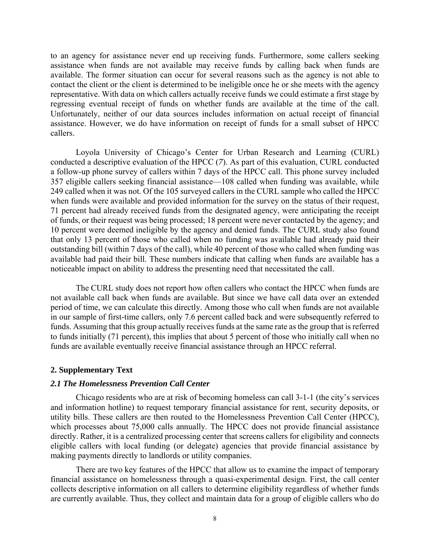to an agency for assistance never end up receiving funds. Furthermore, some callers seeking assistance when funds are not available may receive funds by calling back when funds are available. The former situation can occur for several reasons such as the agency is not able to contact the client or the client is determined to be ineligible once he or she meets with the agency representative. With data on which callers actually receive funds we could estimate a first stage by regressing eventual receipt of funds on whether funds are available at the time of the call. Unfortunately, neither of our data sources includes information on actual receipt of financial assistance. However, we do have information on receipt of funds for a small subset of HPCC callers.

Loyola University of Chicago's Center for Urban Research and Learning (CURL) conducted a descriptive evaluation of the HPCC (*7*). As part of this evaluation, CURL conducted a follow-up phone survey of callers within 7 days of the HPCC call. This phone survey included 357 eligible callers seeking financial assistance—108 called when funding was available, while 249 called when it was not. Of the 105 surveyed callers in the CURL sample who called the HPCC when funds were available and provided information for the survey on the status of their request, 71 percent had already received funds from the designated agency, were anticipating the receipt of funds, or their request was being processed; 18 percent were never contacted by the agency; and 10 percent were deemed ineligible by the agency and denied funds. The CURL study also found that only 13 percent of those who called when no funding was available had already paid their outstanding bill (within 7 days of the call), while 40 percent of those who called when funding was available had paid their bill. These numbers indicate that calling when funds are available has a noticeable impact on ability to address the presenting need that necessitated the call.

 The CURL study does not report how often callers who contact the HPCC when funds are not available call back when funds are available. But since we have call data over an extended period of time, we can calculate this directly. Among those who call when funds are not available in our sample of first-time callers, only 7.6 percent called back and were subsequently referred to funds. Assuming that this group actually receives funds at the same rate as the group that is referred to funds initially (71 percent), this implies that about 5 percent of those who initially call when no funds are available eventually receive financial assistance through an HPCC referral.

#### **2. Supplementary Text**

## *2.1 The Homelessness Prevention Call Center*

Chicago residents who are at risk of becoming homeless can call 3-1-1 (the city's services and information hotline) to request temporary financial assistance for rent, security deposits, or utility bills. These callers are then routed to the Homelessness Prevention Call Center (HPCC), which processes about 75,000 calls annually. The HPCC does not provide financial assistance directly. Rather, it is a centralized processing center that screens callers for eligibility and connects eligible callers with local funding (or delegate) agencies that provide financial assistance by making payments directly to landlords or utility companies.

There are two key features of the HPCC that allow us to examine the impact of temporary financial assistance on homelessness through a quasi-experimental design. First, the call center collects descriptive information on all callers to determine eligibility regardless of whether funds are currently available. Thus, they collect and maintain data for a group of eligible callers who do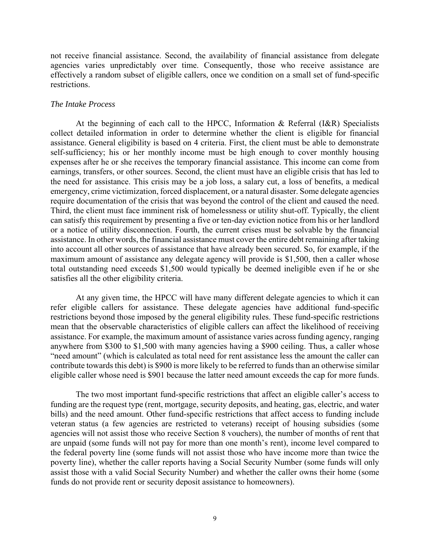not receive financial assistance. Second, the availability of financial assistance from delegate agencies varies unpredictably over time. Consequently, those who receive assistance are effectively a random subset of eligible callers, once we condition on a small set of fund-specific restrictions.

#### *The Intake Process*

At the beginning of each call to the HPCC, Information & Referral (I&R) Specialists collect detailed information in order to determine whether the client is eligible for financial assistance. General eligibility is based on 4 criteria. First, the client must be able to demonstrate self-sufficiency; his or her monthly income must be high enough to cover monthly housing expenses after he or she receives the temporary financial assistance. This income can come from earnings, transfers, or other sources. Second, the client must have an eligible crisis that has led to the need for assistance. This crisis may be a job loss, a salary cut, a loss of benefits, a medical emergency, crime victimization, forced displacement, or a natural disaster. Some delegate agencies require documentation of the crisis that was beyond the control of the client and caused the need. Third, the client must face imminent risk of homelessness or utility shut-off. Typically, the client can satisfy this requirement by presenting a five or ten-day eviction notice from his or her landlord or a notice of utility disconnection. Fourth, the current crises must be solvable by the financial assistance. In other words, the financial assistance must cover the entire debt remaining after taking into account all other sources of assistance that have already been secured. So, for example, if the maximum amount of assistance any delegate agency will provide is \$1,500, then a caller whose total outstanding need exceeds \$1,500 would typically be deemed ineligible even if he or she satisfies all the other eligibility criteria.

At any given time, the HPCC will have many different delegate agencies to which it can refer eligible callers for assistance. These delegate agencies have additional fund-specific restrictions beyond those imposed by the general eligibility rules. These fund-specific restrictions mean that the observable characteristics of eligible callers can affect the likelihood of receiving assistance. For example, the maximum amount of assistance varies across funding agency, ranging anywhere from \$300 to \$1,500 with many agencies having a \$900 ceiling. Thus, a caller whose "need amount" (which is calculated as total need for rent assistance less the amount the caller can contribute towards this debt) is \$900 is more likely to be referred to funds than an otherwise similar eligible caller whose need is \$901 because the latter need amount exceeds the cap for more funds.

The two most important fund-specific restrictions that affect an eligible caller's access to funding are the request type (rent, mortgage, security deposits, and heating, gas, electric, and water bills) and the need amount. Other fund-specific restrictions that affect access to funding include veteran status (a few agencies are restricted to veterans) receipt of housing subsidies (some agencies will not assist those who receive Section 8 vouchers), the number of months of rent that are unpaid (some funds will not pay for more than one month's rent), income level compared to the federal poverty line (some funds will not assist those who have income more than twice the poverty line), whether the caller reports having a Social Security Number (some funds will only assist those with a valid Social Security Number) and whether the caller owns their home (some funds do not provide rent or security deposit assistance to homeowners).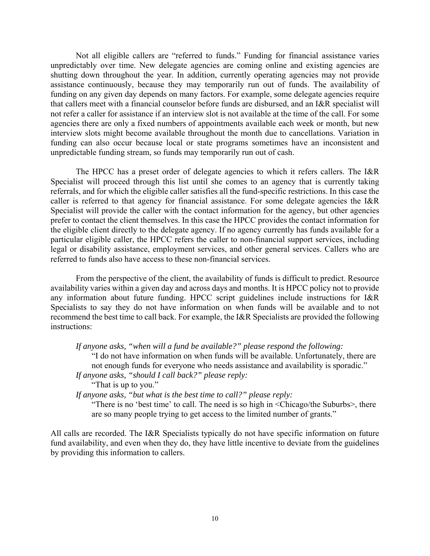Not all eligible callers are "referred to funds." Funding for financial assistance varies unpredictably over time. New delegate agencies are coming online and existing agencies are shutting down throughout the year. In addition, currently operating agencies may not provide assistance continuously, because they may temporarily run out of funds. The availability of funding on any given day depends on many factors. For example, some delegate agencies require that callers meet with a financial counselor before funds are disbursed, and an I&R specialist will not refer a caller for assistance if an interview slot is not available at the time of the call. For some agencies there are only a fixed numbers of appointments available each week or month, but new interview slots might become available throughout the month due to cancellations. Variation in funding can also occur because local or state programs sometimes have an inconsistent and unpredictable funding stream, so funds may temporarily run out of cash.

The HPCC has a preset order of delegate agencies to which it refers callers. The I&R Specialist will proceed through this list until she comes to an agency that is currently taking referrals, and for which the eligible caller satisfies all the fund-specific restrictions. In this case the caller is referred to that agency for financial assistance. For some delegate agencies the I&R Specialist will provide the caller with the contact information for the agency, but other agencies prefer to contact the client themselves. In this case the HPCC provides the contact information for the eligible client directly to the delegate agency. If no agency currently has funds available for a particular eligible caller, the HPCC refers the caller to non-financial support services, including legal or disability assistance, employment services, and other general services. Callers who are referred to funds also have access to these non-financial services.

From the perspective of the client, the availability of funds is difficult to predict. Resource availability varies within a given day and across days and months. It is HPCC policy not to provide any information about future funding. HPCC script guidelines include instructions for I&R Specialists to say they do not have information on when funds will be available and to not recommend the best time to call back. For example, the I&R Specialists are provided the following instructions:

*If anyone asks, "when will a fund be available?" please respond the following:* 

"I do not have information on when funds will be available. Unfortunately, there are not enough funds for everyone who needs assistance and availability is sporadic."

*If anyone asks, "should I call back?" please reply:* 

"That is up to you."

*If anyone asks, "but what is the best time to call?" please reply:* 

"There is no 'best time' to call. The need is so high in <Chicago/the Suburbs>, there are so many people trying to get access to the limited number of grants."

All calls are recorded. The I&R Specialists typically do not have specific information on future fund availability, and even when they do, they have little incentive to deviate from the guidelines by providing this information to callers.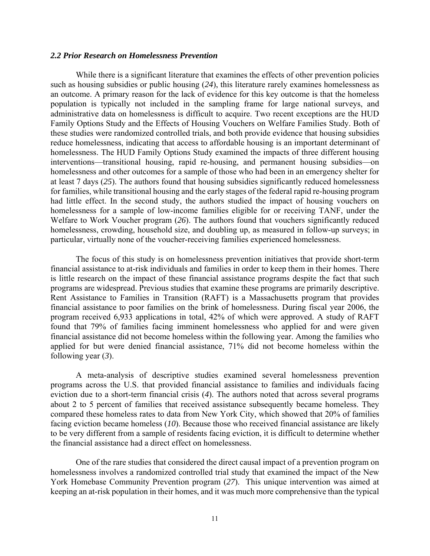## *2.2 Prior Research on Homelessness Prevention*

While there is a significant literature that examines the effects of other prevention policies such as housing subsidies or public housing (*24*), this literature rarely examines homelessness as an outcome. A primary reason for the lack of evidence for this key outcome is that the homeless population is typically not included in the sampling frame for large national surveys, and administrative data on homelessness is difficult to acquire. Two recent exceptions are the HUD Family Options Study and the Effects of Housing Vouchers on Welfare Families Study. Both of these studies were randomized controlled trials, and both provide evidence that housing subsidies reduce homelessness, indicating that access to affordable housing is an important determinant of homelessness. The HUD Family Options Study examined the impacts of three different housing interventions—transitional housing, rapid re-housing, and permanent housing subsidies—on homelessness and other outcomes for a sample of those who had been in an emergency shelter for at least 7 days (*25*). The authors found that housing subsidies significantly reduced homelessness for families, while transitional housing and the early stages of the federal rapid re-housing program had little effect. In the second study, the authors studied the impact of housing vouchers on homelessness for a sample of low-income families eligible for or receiving TANF, under the Welfare to Work Voucher program (*26*). The authors found that vouchers significantly reduced homelessness, crowding, household size, and doubling up, as measured in follow-up surveys; in particular, virtually none of the voucher-receiving families experienced homelessness.

The focus of this study is on homelessness prevention initiatives that provide short-term financial assistance to at-risk individuals and families in order to keep them in their homes. There is little research on the impact of these financial assistance programs despite the fact that such programs are widespread. Previous studies that examine these programs are primarily descriptive. Rent Assistance to Families in Transition (RAFT) is a Massachusetts program that provides financial assistance to poor families on the brink of homelessness. During fiscal year 2006, the program received 6,933 applications in total, 42% of which were approved. A study of RAFT found that 79% of families facing imminent homelessness who applied for and were given financial assistance did not become homeless within the following year. Among the families who applied for but were denied financial assistance, 71% did not become homeless within the following year (*3*).

A meta-analysis of descriptive studies examined several homelessness prevention programs across the U.S. that provided financial assistance to families and individuals facing eviction due to a short-term financial crisis (*4*). The authors noted that across several programs about 2 to 5 percent of families that received assistance subsequently became homeless. They compared these homeless rates to data from New York City, which showed that 20% of families facing eviction became homeless (*10*). Because those who received financial assistance are likely to be very different from a sample of residents facing eviction, it is difficult to determine whether the financial assistance had a direct effect on homelessness.

One of the rare studies that considered the direct causal impact of a prevention program on homelessness involves a randomized controlled trial study that examined the impact of the New York Homebase Community Prevention program (*27*). This unique intervention was aimed at keeping an at-risk population in their homes, and it was much more comprehensive than the typical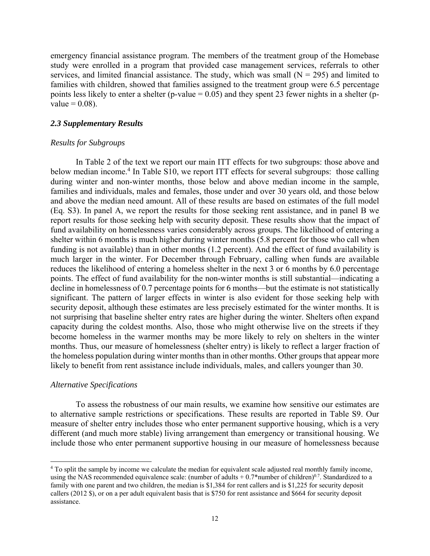emergency financial assistance program. The members of the treatment group of the Homebase study were enrolled in a program that provided case management services, referrals to other services, and limited financial assistance. The study, which was small  $(N = 295)$  and limited to families with children, showed that families assigned to the treatment group were 6.5 percentage points less likely to enter a shelter (p-value  $= 0.05$ ) and they spent 23 fewer nights in a shelter (pvalue  $= 0.08$ ).

## *2.3 Supplementary Results*

#### *Results for Subgroups*

In Table 2 of the text we report our main ITT effects for two subgroups: those above and below median income.<sup>4</sup> In Table S10, we report ITT effects for several subgroups: those calling during winter and non-winter months, those below and above median income in the sample, families and individuals, males and females, those under and over 30 years old, and those below and above the median need amount. All of these results are based on estimates of the full model (Eq. S3). In panel A, we report the results for those seeking rent assistance, and in panel B we report results for those seeking help with security deposit. These results show that the impact of fund availability on homelessness varies considerably across groups. The likelihood of entering a shelter within 6 months is much higher during winter months (5.8 percent for those who call when funding is not available) than in other months (1.2 percent). And the effect of fund availability is much larger in the winter. For December through February, calling when funds are available reduces the likelihood of entering a homeless shelter in the next 3 or 6 months by 6.0 percentage points. The effect of fund availability for the non-winter months is still substantial—indicating a decline in homelessness of 0.7 percentage points for 6 months—but the estimate is not statistically significant. The pattern of larger effects in winter is also evident for those seeking help with security deposit, although these estimates are less precisely estimated for the winter months. It is not surprising that baseline shelter entry rates are higher during the winter. Shelters often expand capacity during the coldest months. Also, those who might otherwise live on the streets if they become homeless in the warmer months may be more likely to rely on shelters in the winter months. Thus, our measure of homelessness (shelter entry) is likely to reflect a larger fraction of the homeless population during winter months than in other months. Other groups that appear more likely to benefit from rent assistance include individuals, males, and callers younger than 30.

#### *Alternative Specifications*

 $\overline{\phantom{a}}$ 

To assess the robustness of our main results, we examine how sensitive our estimates are to alternative sample restrictions or specifications. These results are reported in Table S9. Our measure of shelter entry includes those who enter permanent supportive housing, which is a very different (and much more stable) living arrangement than emergency or transitional housing. We include those who enter permanent supportive housing in our measure of homelessness because

<sup>4</sup> To split the sample by income we calculate the median for equivalent scale adjusted real monthly family income, using the NAS recommended equivalence scale: (number of adults  $+ 0.7*$ number of children)<sup>0.7</sup>. Standardized to a family with one parent and two children, the median is \$1,384 for rent callers and is \$1,225 for security deposit callers (2012 \$), or on a per adult equivalent basis that is \$750 for rent assistance and \$664 for security deposit assistance.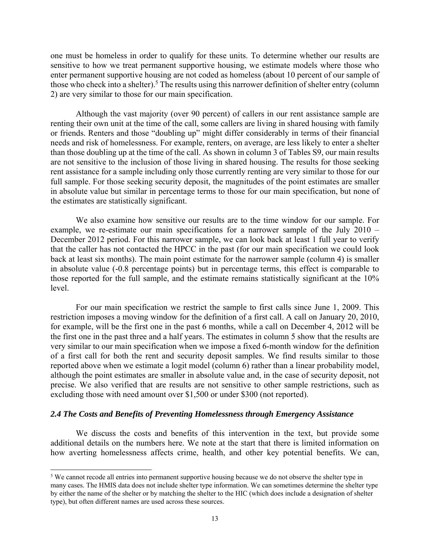one must be homeless in order to qualify for these units. To determine whether our results are sensitive to how we treat permanent supportive housing, we estimate models where those who enter permanent supportive housing are not coded as homeless (about 10 percent of our sample of those who check into a shelter).<sup>5</sup> The results using this narrower definition of shelter entry (column 2) are very similar to those for our main specification.

Although the vast majority (over 90 percent) of callers in our rent assistance sample are renting their own unit at the time of the call, some callers are living in shared housing with family or friends. Renters and those "doubling up" might differ considerably in terms of their financial needs and risk of homelessness. For example, renters, on average, are less likely to enter a shelter than those doubling up at the time of the call. As shown in column 3 of Tables S9, our main results are not sensitive to the inclusion of those living in shared housing. The results for those seeking rent assistance for a sample including only those currently renting are very similar to those for our full sample. For those seeking security deposit, the magnitudes of the point estimates are smaller in absolute value but similar in percentage terms to those for our main specification, but none of the estimates are statistically significant.

We also examine how sensitive our results are to the time window for our sample. For example, we re-estimate our main specifications for a narrower sample of the July 2010 – December 2012 period. For this narrower sample, we can look back at least 1 full year to verify that the caller has not contacted the HPCC in the past (for our main specification we could look back at least six months). The main point estimate for the narrower sample (column 4) is smaller in absolute value (-0.8 percentage points) but in percentage terms, this effect is comparable to those reported for the full sample, and the estimate remains statistically significant at the 10% level.

For our main specification we restrict the sample to first calls since June 1, 2009. This restriction imposes a moving window for the definition of a first call. A call on January 20, 2010, for example, will be the first one in the past 6 months, while a call on December 4, 2012 will be the first one in the past three and a half years. The estimates in column 5 show that the results are very similar to our main specification when we impose a fixed 6-month window for the definition of a first call for both the rent and security deposit samples. We find results similar to those reported above when we estimate a logit model (column 6) rather than a linear probability model, although the point estimates are smaller in absolute value and, in the case of security deposit, not precise. We also verified that are results are not sensitive to other sample restrictions, such as excluding those with need amount over \$1,500 or under \$300 (not reported).

# *2.4 The Costs and Benefits of Preventing Homelessness through Emergency Assistance*

 $\overline{\phantom{a}}$ 

We discuss the costs and benefits of this intervention in the text, but provide some additional details on the numbers here. We note at the start that there is limited information on how averting homelessness affects crime, health, and other key potential benefits. We can,

<sup>&</sup>lt;sup>5</sup> We cannot recode all entries into permanent supportive housing because we do not observe the shelter type in many cases. The HMIS data does not include shelter type information. We can sometimes determine the shelter type by either the name of the shelter or by matching the shelter to the HIC (which does include a designation of shelter type), but often different names are used across these sources.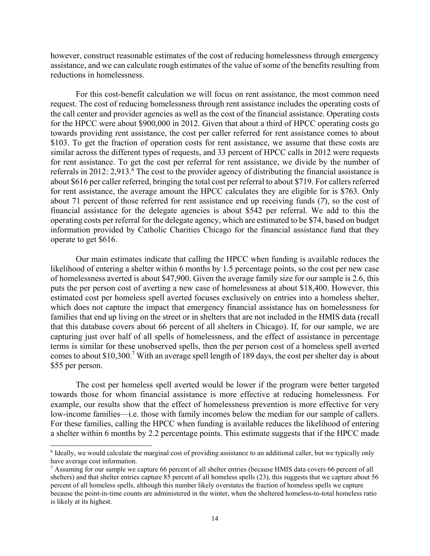however, construct reasonable estimates of the cost of reducing homelessness through emergency assistance, and we can calculate rough estimates of the value of some of the benefits resulting from reductions in homelessness.

For this cost-benefit calculation we will focus on rent assistance, the most common need request. The cost of reducing homelessness through rent assistance includes the operating costs of the call center and provider agencies as well as the cost of the financial assistance. Operating costs for the HPCC were about \$900,000 in 2012. Given that about a third of HPCC operating costs go towards providing rent assistance, the cost per caller referred for rent assistance comes to about \$103. To get the fraction of operation costs for rent assistance, we assume that these costs are similar across the different types of requests, and 33 percent of HPCC calls in 2012 were requests for rent assistance. To get the cost per referral for rent assistance, we divide by the number of referrals in 2012: 2,913.<sup>6</sup> The cost to the provider agency of distributing the financial assistance is about \$616 per caller referred, bringing the total cost per referral to about \$719. For callers referred for rent assistance, the average amount the HPCC calculates they are eligible for is \$763. Only about 71 percent of those referred for rent assistance end up receiving funds (*7*), so the cost of financial assistance for the delegate agencies is about \$542 per referral. We add to this the operating costs per referral for the delegate agency, which are estimated to be \$74, based on budget information provided by Catholic Charities Chicago for the financial assistance fund that they operate to get \$616.

Our main estimates indicate that calling the HPCC when funding is available reduces the likelihood of entering a shelter within 6 months by 1.5 percentage points, so the cost per new case of homelessness averted is about \$47,900. Given the average family size for our sample is 2.6, this puts the per person cost of averting a new case of homelessness at about \$18,400. However, this estimated cost per homeless spell averted focuses exclusively on entries into a homeless shelter, which does not capture the impact that emergency financial assistance has on homelessness for families that end up living on the street or in shelters that are not included in the HMIS data (recall that this database covers about 66 percent of all shelters in Chicago). If, for our sample, we are capturing just over half of all spells of homelessness, and the effect of assistance in percentage terms is similar for these unobserved spells, then the per person cost of a homeless spell averted comes to about \$10,300.<sup>7</sup> With an average spell length of 189 days, the cost per shelter day is about \$55 per person.

The cost per homeless spell averted would be lower if the program were better targeted towards those for whom financial assistance is more effective at reducing homelessness. For example, our results show that the effect of homelessness prevention is more effective for very low-income families—i.e. those with family incomes below the median for our sample of callers. For these families, calling the HPCC when funding is available reduces the likelihood of entering a shelter within 6 months by 2.2 percentage points. This estimate suggests that if the HPCC made

 $\overline{a}$ 

<sup>&</sup>lt;sup>6</sup> Ideally, we would calculate the marginal cost of providing assistance to an additional caller, but we typically only have average cost information.

<sup>&</sup>lt;sup>7</sup> Assuming for our sample we capture 66 percent of all shelter entries (because HMIS data covers 66 percent of all shelters) and that shelter entries capture 85 percent of all homeless spells (23), this suggests that we capture about 56 percent of all homeless spells, although this number likely overstates the fraction of homeless spells we capture because the point-in-time counts are administered in the winter, when the sheltered homeless-to-total homeless ratio is likely at its highest.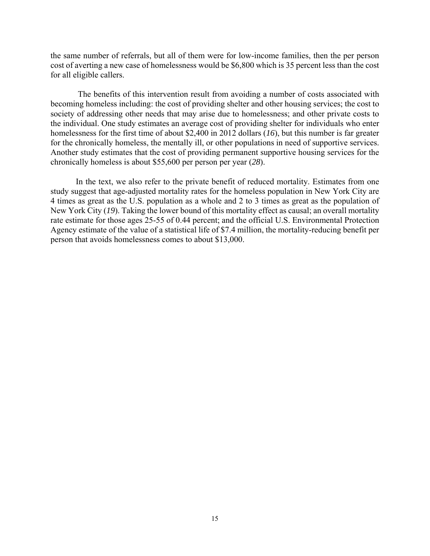the same number of referrals, but all of them were for low-income families, then the per person cost of averting a new case of homelessness would be \$6,800 which is 35 percent less than the cost for all eligible callers.

 The benefits of this intervention result from avoiding a number of costs associated with becoming homeless including: the cost of providing shelter and other housing services; the cost to society of addressing other needs that may arise due to homelessness; and other private costs to the individual. One study estimates an average cost of providing shelter for individuals who enter homelessness for the first time of about \$2,400 in 2012 dollars (*16*), but this number is far greater for the chronically homeless, the mentally ill, or other populations in need of supportive services. Another study estimates that the cost of providing permanent supportive housing services for the chronically homeless is about \$55,600 per person per year (*28*).

In the text, we also refer to the private benefit of reduced mortality. Estimates from one study suggest that age-adjusted mortality rates for the homeless population in New York City are 4 times as great as the U.S. population as a whole and 2 to 3 times as great as the population of New York City (*19*). Taking the lower bound of this mortality effect as causal; an overall mortality rate estimate for those ages 25-55 of 0.44 percent; and the official U.S. Environmental Protection Agency estimate of the value of a statistical life of \$7.4 million, the mortality-reducing benefit per person that avoids homelessness comes to about \$13,000.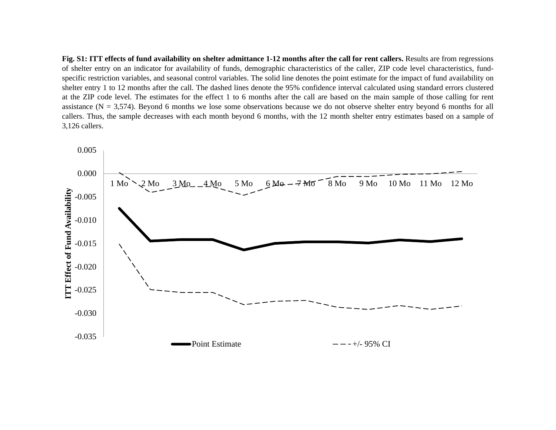Fig. S1: ITT effects of fund availability on shelter admittance 1-12 months after the call for rent callers. Results are from regressions of shelter entry on an indicator for availability of funds, demographic characteristics of the caller, ZIP code level characteristics, fundspecific restriction variables, and seasonal control variables. The solid line denotes the point estimate for the impact of fund availability on shelter entry 1 to 12 months after the call. The dashed lines denote the 95% confidence interval calculated using standard errors clustered at the ZIP code level. The estimates for the effect 1 to 6 months after the call are based on the main sample of those calling for rent assistance ( $N = 3,574$ ). Beyond 6 months we lose some observations because we do not observe shelter entry beyond 6 months for all callers. Thus, the sample decreases with each month beyond 6 months, with the 12 month shelter entry estimates based on <sup>a</sup> sample of 3,126 callers.

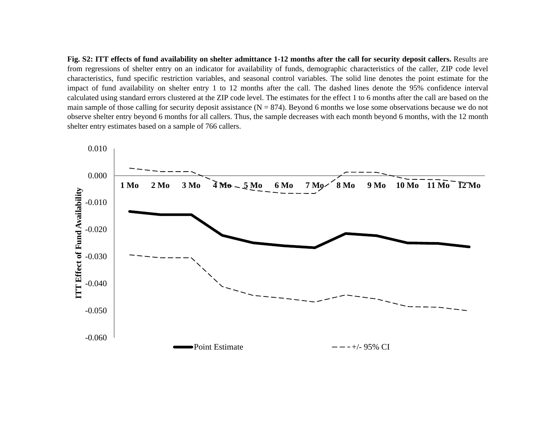Fig. S2: ITT effects of fund availability on shelter admittance 1-12 months after the call for security deposit callers. Results are from regressions of shelter entry on an indicator for availability of funds, demographic characteristics of the caller, ZIP code level characteristics, fund specific restriction variables, and seasonal control variables. The solid line denotes the point estimate for the impact of fund availability on shelter entry 1 to 12 months after the call. The dashed lines denote the 95% confidence interval calculated using standard errors clustered at the ZIP code level. The estimates for the effect 1 to 6 months after the call are based on the main sample of those calling for security deposit assistance  $(N = 874)$ . Beyond 6 months we lose some observations because we do not observe shelter entry beyond 6 months for all callers. Thus, the sample decreases with each month beyond 6 months, with the 12 month shelter entry estimates based on a sample of 766 callers.

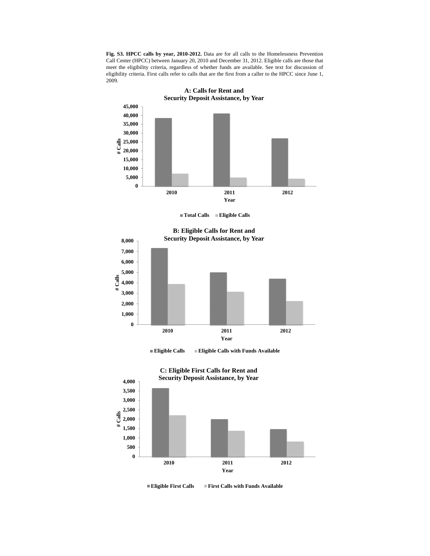**Fig. S3. HPCC calls by year, 2010-2012.** Data are for all calls to the Homelessness Prevention Call Center (HPCC) between January 20, 2010 and December 31, 2012. Eligible calls are those that meet the eligibility criteria, regardless of whether funds are available. See text for discussion of eligibility criteria. First calls refer to calls that are the first from a caller to the HPCC since June 1, 2009.



**Total Calls Eligible Calls**

**0 1,000 2,000 3,000 4,000 5,000 6,000 7,000 8,000 2010 2011 2012 # Calls Year B: Eligible Calls for Rent and Security Deposit Assistance, by Year** 

**Eligible Calls Eligible Calls with Funds Available**





**Eligible First Calls First Calls with Funds Available**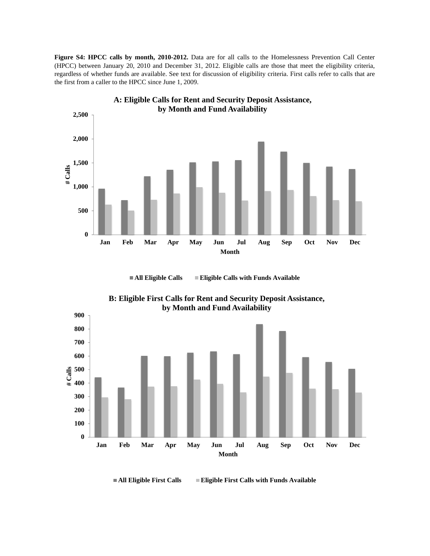**Figure S4: HPCC calls by month, 2010-2012.** Data are for all calls to the Homelessness Prevention Call Center (HPCC) between January 20, 2010 and December 31, 2012. Eligible calls are those that meet the eligibility criteria, regardless of whether funds are available. See text for discussion of eligibility criteria. First calls refer to calls that are the first from a caller to the HPCC since June 1, 2009.



■ **All Eligible Calls** ■ **Eligible Calls with Funds Available** 



**B: Eligible First Calls for Rent and Security Deposit Assistance,** 

■ All Eligible First Calls ■ Eligible First Calls with Funds Available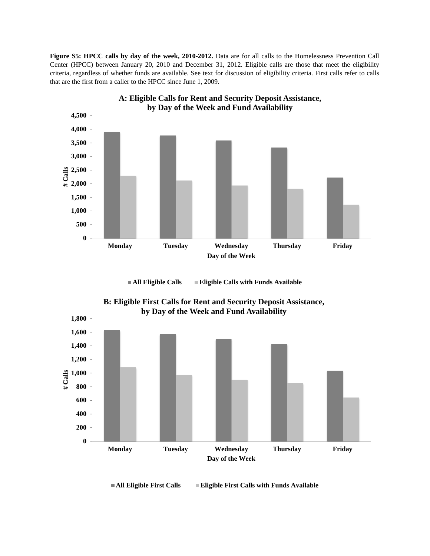**Figure S5: HPCC calls by day of the week, 2010-2012.** Data are for all calls to the Homelessness Prevention Call Center (HPCC) between January 20, 2010 and December 31, 2012. Eligible calls are those that meet the eligibility criteria, regardless of whether funds are available. See text for discussion of eligibility criteria. First calls refer to calls that are the first from a caller to the HPCC since June 1, 2009.



**All Eligible Calls Eligible Calls with Funds Available**



**B: Eligible First Calls for Rent and Security Deposit Assistance,** 

■ All Eligible First Calls ■ Eligible First Calls with Funds Available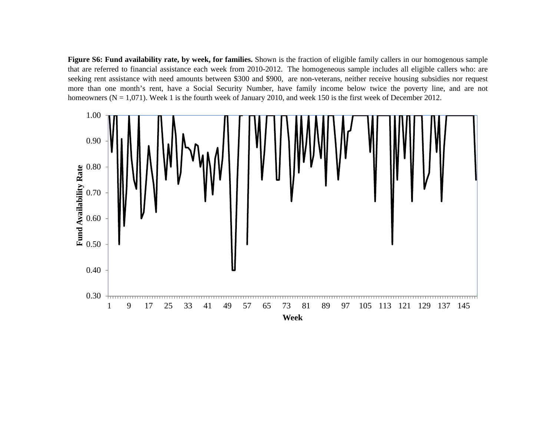Figure S6: Fund availability rate, by week, for families. Shown is the fraction of eligible family callers in our homogenous sample that are referred to financial assistance each week from 2010-2012. The homogeneous sample includes all eligible callers who: are seeking rent assistance with need amounts between \$300 and \$900, are non-veterans, neither receive housing subsidies nor reques<sup>t</sup> more than one month's rent, have <sup>a</sup> Social Security Number, have family income below twice the poverty line, and are not homeowners ( $N = 1,071$ ). Week 1 is the fourth week of January 2010, and week 150 is the first week of December 2012.

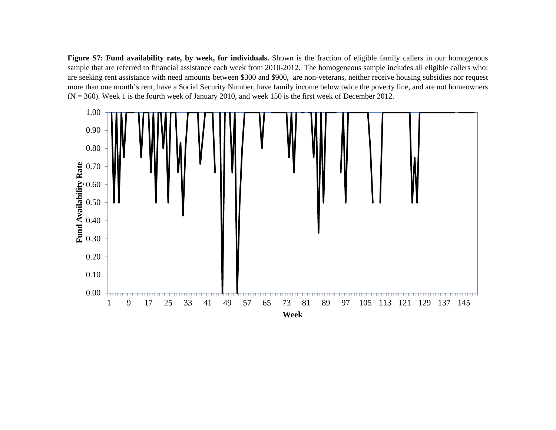Figure S7: Fund availability rate, by week, for individuals. Shown is the fraction of eligible family callers in our homogenous sample that are referred to financial assistance each week from 2010-2012. The homogeneous sample includes all eligible callers who: are seeking rent assistance with need amounts between \$300 and \$900, are non-veterans, neither receive housing subsidies nor reques<sup>t</sup> more than one month's rent, have <sup>a</sup> Social Security Number, have family income below twice the poverty line, and are not homeowners  $(N = 360)$ . Week 1 is the fourth week of January 2010, and week 150 is the first week of December 2012.

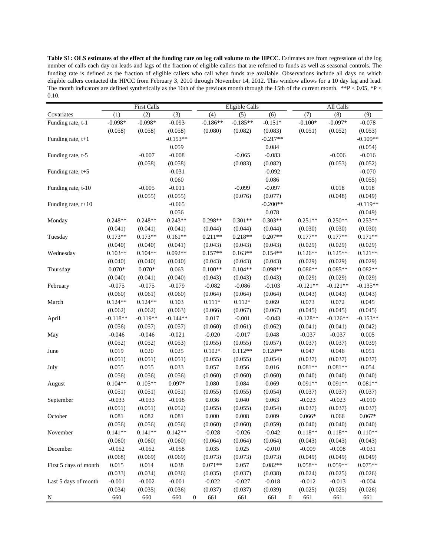**Table S1: OLS estimates of the effect of the funding rate on log call volume to the HPCC.** Estimates are from regressions of the log number of calls each day on leads and lags of the fraction of eligible callers that are referred to funds as well as seasonal controls. The funding rate is defined as the fraction of eligible callers who call when funds are available. Observations include all days on which eligible callers contacted the HPCC from February 3, 2010 through November 14, 2012. This window allows for a 10 day lag and lead. The month indicators are defined synthetically as the 16th of the previous month through the 15th of the current month. \*\*P < 0.05, \*P < 0.10.

|                       |                 | First Calls     |            |                  |            | <b>Eligible Calls</b> |            |                  | All Calls  |            |            |  |
|-----------------------|-----------------|-----------------|------------|------------------|------------|-----------------------|------------|------------------|------------|------------|------------|--|
| Covariates            | (1)             | (2)             | (3)        |                  | (4)        | (5)                   | (6)        |                  | (7)        | (8)        | (9)        |  |
| Funding rate, t-1     | $-0.098*$       | $-0.098*$       | $-0.093$   |                  | $-0.186**$ | $-0.185**$            | $-0.151*$  |                  | $-0.100*$  | $-0.097*$  | $-0.078$   |  |
|                       | (0.058)         | (0.058)         | (0.058)    |                  | (0.080)    | (0.082)               | (0.083)    |                  | (0.051)    | (0.052)    | (0.053)    |  |
| Funding rate, $t+1$   |                 |                 | $-0.153**$ |                  |            |                       | $-0.217**$ |                  |            |            | $-0.109**$ |  |
|                       |                 |                 | 0.059      |                  |            |                       | 0.084      |                  |            |            | (0.054)    |  |
| Funding rate, t-5     |                 | $-0.007$        | $-0.008$   |                  |            | $-0.065$              | $-0.083$   |                  |            | $-0.006$   | $-0.016$   |  |
|                       |                 | (0.058)         | (0.058)    |                  |            | (0.083)               | (0.082)    |                  |            | (0.053)    | (0.052)    |  |
| Funding rate, $t+5$   |                 |                 | $-0.031$   |                  |            |                       | $-0.092$   |                  |            |            | $-0.070$   |  |
|                       |                 |                 | 0.060      |                  |            |                       | 0.086      |                  |            |            | (0.055)    |  |
| Funding rate, t-10    |                 | $-0.005$        | $-0.011$   |                  |            | $-0.099$              | $-0.097$   |                  |            | 0.018      | 0.018      |  |
|                       |                 | (0.055)         | (0.055)    |                  |            | (0.076)               | (0.077)    |                  |            | (0.048)    | (0.049)    |  |
| Funding rate, $t+10$  |                 |                 | $-0.065$   |                  |            |                       | $-0.200**$ |                  |            |            | $-0.119**$ |  |
|                       |                 |                 | 0.056      |                  |            |                       | 0.078      |                  |            |            | (0.049)    |  |
| Monday                | $0.248**$       | $0.248**$       | $0.243**$  |                  | 0.298**    | $0.301**$             | $0.303**$  |                  | $0.251**$  | $0.250**$  | $0.253**$  |  |
|                       | (0.041)         | (0.041)         | (0.041)    |                  | (0.044)    | (0.044)               | (0.044)    |                  | (0.030)    | (0.030)    | (0.030)    |  |
| Tuesday               | $0.173**$       | $0.173**$       | $0.161**$  |                  | $0.211**$  | $0.218**$             | $0.207**$  |                  | $0.177**$  | $0.177**$  | $0.171**$  |  |
|                       | (0.040)         | (0.040)         | (0.041)    |                  | (0.043)    | (0.043)               | (0.043)    |                  | (0.029)    | (0.029)    | (0.029)    |  |
| Wednesday             | $0.103**$       | $0.104**$       | $0.092**$  |                  | $0.157**$  | $0.163**$             | $0.154**$  |                  | $0.126**$  | $0.125**$  | $0.121**$  |  |
|                       | (0.040)         | (0.040)         | (0.040)    |                  | (0.043)    | (0.043)               | (0.043)    |                  | (0.029)    | (0.029)    | (0.029)    |  |
| Thursday              | $0.070\text{*}$ | $0.070\text{*}$ | 0.063      |                  | $0.100**$  | $0.104**$             | $0.098**$  |                  | $0.086**$  | $0.085**$  | $0.082**$  |  |
|                       | (0.040)         | (0.041)         | (0.040)    |                  | (0.043)    | (0.043)               | (0.043)    |                  | (0.029)    | (0.029)    | (0.029)    |  |
| February              | $-0.075$        | $-0.075$        | $-0.079$   |                  | $-0.082$   | $-0.086$              | $-0.103$   |                  | $-0.121**$ | $-0.121**$ | $-0.135**$ |  |
|                       | (0.060)         | (0.061)         | (0.060)    |                  | (0.064)    | (0.064)               | (0.064)    |                  | (0.043)    | (0.043)    | (0.043)    |  |
| March                 | $0.124**$       | $0.124**$       | 0.103      |                  | $0.111*$   | $0.112*$              | 0.069      |                  | 0.073      | 0.072      | 0.045      |  |
|                       | (0.062)         | (0.062)         | (0.063)    |                  | (0.066)    | (0.067)               | (0.067)    |                  | (0.045)    | (0.045)    | (0.045)    |  |
| April                 | $-0.118**$      | $-0.119**$      | $-0.144**$ |                  | 0.017      | $-0.001$              | $-0.043$   |                  | $-0.128**$ | $-0.126**$ | $-0.153**$ |  |
|                       | (0.056)         | (0.057)         | (0.057)    |                  | (0.060)    | (0.061)               | (0.062)    |                  | (0.041)    | (0.041)    | (0.042)    |  |
| May                   | $-0.046$        | $-0.046$        | $-0.021$   |                  | $-0.020$   | $-0.017$              | 0.048      |                  | $-0.037$   | $-0.037$   | 0.005      |  |
|                       | (0.052)         | (0.052)         | (0.053)    |                  | (0.055)    | (0.055)               | (0.057)    |                  | (0.037)    | (0.037)    | (0.039)    |  |
| June                  | 0.019           | 0.020           | 0.025      |                  | $0.102*$   | $0.112**$             | $0.120**$  |                  | 0.047      | 0.046      | 0.051      |  |
|                       | (0.051)         | (0.051)         | (0.051)    |                  | (0.055)    | (0.055)               | (0.054)    |                  | (0.037)    | (0.037)    | (0.037)    |  |
| July                  | 0.055           | 0.055           | 0.033      |                  | 0.057      | 0.056                 | 0.016      |                  | $0.081**$  | $0.081**$  | 0.054      |  |
|                       | (0.056)         | (0.056)         | (0.056)    |                  | (0.060)    | (0.060)               | (0.060)    |                  | (0.040)    | (0.040)    | (0.040)    |  |
| August                | $0.104**$       | $0.105**$       | $0.097*$   |                  | $0.080\,$  | 0.084                 | 0.069      |                  | $0.091**$  | $0.091**$  | $0.081**$  |  |
|                       | (0.051)         | (0.051)         | (0.051)    |                  | (0.055)    | (0.055)               | (0.054)    |                  | (0.037)    | (0.037)    | (0.037)    |  |
| September             | $-0.033$        | $-0.033$        | $-0.018$   |                  | 0.036      | 0.040                 | 0.063      |                  | $-0.023$   | $-0.023$   | $-0.010$   |  |
|                       | (0.051)         | (0.051)         | (0.052)    |                  | (0.055)    | (0.055)               | (0.054)    |                  | (0.037)    | (0.037)    | (0.037)    |  |
| October               | 0.081           | 0.082           | 0.081      |                  | $0.000\,$  | $0.008\,$             | 0.009      |                  | $0.066*$   | 0.066      | $0.067*$   |  |
|                       | (0.056)         | (0.056)         | (0.056)    |                  | (0.060)    | (0.060)               | (0.059)    |                  | (0.040)    | (0.040)    | (0.040)    |  |
| November              | $0.141**$       | $0.141**$       | $0.142**$  |                  | $-0.028$   | $-0.026$              | $-0.042$   |                  | $0.118**$  | $0.118**$  | $0.110**$  |  |
|                       | (0.060)         | (0.060)         | (0.060)    |                  | (0.064)    | (0.064)               | (0.064)    |                  | (0.043)    | (0.043)    | (0.043)    |  |
| December              | $-0.052$        | $-0.052$        | $-0.058$   |                  | 0.035      | 0.025                 | $-0.010$   |                  | $-0.009$   | $-0.008$   | $-0.031$   |  |
|                       | (0.068)         | (0.069)         | (0.069)    |                  | (0.073)    | (0.073)               | (0.073)    |                  | (0.049)    | (0.049)    | (0.049)    |  |
| First 5 days of month | 0.015           | 0.014           | 0.038      |                  | $0.071**$  | 0.057                 | $0.082**$  |                  | $0.058**$  | $0.059**$  | $0.075**$  |  |
|                       | (0.033)         | (0.034)         | (0.036)    |                  | (0.035)    | (0.037)               | (0.038)    |                  | (0.024)    | (0.025)    | (0.026)    |  |
| Last 5 days of month  | $-0.001$        | $-0.002$        | $-0.001$   |                  | $-0.022$   | $-0.027$              | $-0.018$   |                  | $-0.012$   | $-0.013$   | $-0.004$   |  |
|                       | (0.034)         | (0.035)         | (0.036)    |                  | (0.037)    | (0.037)               | (0.039)    |                  | (0.025)    | (0.025)    | (0.026)    |  |
| N                     | 660             | 660             | 660        | $\boldsymbol{0}$ | 661        | 661                   | 661        | $\boldsymbol{0}$ | 661        | 661        | 661        |  |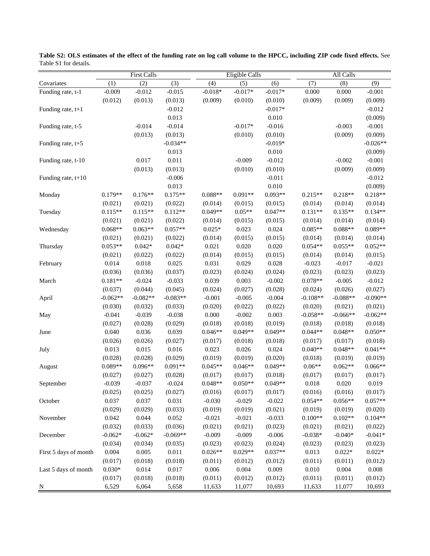|                       |            | <b>First Calls</b> |            |           | <b>Eligible Calls</b> |           | All Calls  |            |            |  |
|-----------------------|------------|--------------------|------------|-----------|-----------------------|-----------|------------|------------|------------|--|
| Covariates            | (1)        | (2)                | (3)        | (4)       | (5)                   | (6)       | (7)        | (8)        | (9)        |  |
| Funding rate, t-1     | $-0.009$   | $-0.012$           | $-0.015$   | $-0.018*$ | $-0.017*$             | $-0.017*$ | 0.000      | 0.000      | $-0.001$   |  |
|                       | (0.012)    | (0.013)            | (0.013)    | (0.009)   | (0.010)               | (0.010)   | (0.009)    | (0.009)    | (0.009)    |  |
| Funding rate, $t+1$   |            |                    | $-0.012$   |           |                       | $-0.017*$ |            |            | $-0.012$   |  |
|                       |            |                    | 0.013      |           |                       | 0.010     |            |            | (0.009)    |  |
| Funding rate, t-5     |            | $-0.014$           | $-0.014$   |           | $-0.017*$             | $-0.016$  |            | $-0.003$   | $-0.001$   |  |
|                       |            | (0.013)            | (0.013)    |           | (0.010)               | (0.010)   |            | (0.009)    | (0.009)    |  |
| Funding rate, $t+5$   |            |                    | $-0.034**$ |           |                       | $-0.019*$ |            |            | $-0.026**$ |  |
|                       |            |                    | 0.013      |           |                       | 0.010     |            |            | (0.009)    |  |
| Funding rate, t-10    |            | 0.017              | 0.011      |           | $-0.009$              | $-0.012$  |            | $-0.002$   | $-0.001$   |  |
|                       |            | (0.013)            | (0.013)    |           | (0.010)               | (0.010)   |            | (0.009)    | (0.009)    |  |
| Funding rate, $t+10$  |            |                    | $-0.006$   |           |                       | $-0.011$  |            |            | $-0.012$   |  |
|                       |            |                    | 0.013      |           |                       | 0.010     |            |            | (0.009)    |  |
| Monday                | $0.179**$  | $0.176**$          | $0.175**$  | $0.088**$ | $0.091**$             | $0.093**$ | $0.215**$  | $0.218**$  | $0.218**$  |  |
|                       | (0.021)    | (0.021)            | (0.022)    | (0.014)   | (0.015)               | (0.015)   | (0.014)    | (0.014)    | (0.014)    |  |
| Tuesday               | $0.115**$  | $0.115**$          | $0.112**$  | $0.049**$ | $0.05**$              | $0.047**$ | $0.131**$  | $0.135**$  | $0.134**$  |  |
|                       | (0.021)    | (0.021)            | (0.022)    | (0.014)   | (0.015)               | (0.015)   | (0.014)    | (0.014)    | (0.014)    |  |
| Wednesday             | $0.068**$  | $0.063**$          | $0.057**$  | $0.025*$  | 0.023                 | 0.024     | $0.085**$  | $0.088**$  | $0.089**$  |  |
|                       | (0.021)    | (0.021)            | (0.022)    | (0.014)   | (0.015)               | (0.015)   | (0.014)    | (0.014)    | (0.014)    |  |
| Thursday              | $0.053**$  | $0.042*$           | $0.042*$   | 0.021     | 0.020                 | 0.020     | $0.054**$  | $0.055**$  | $0.052**$  |  |
|                       | (0.021)    | (0.022)            | (0.022)    | (0.014)   | (0.015)               | (0.015)   | (0.014)    | (0.014)    | (0.015)    |  |
| February              | 0.014      | 0.018              | 0.025      | 0.031     | 0.029                 | 0.028     | $-0.023$   | $-0.017$   | $-0.021$   |  |
|                       | (0.036)    | (0.036)            | (0.037)    | (0.023)   | (0.024)               | (0.024)   | (0.023)    | (0.023)    | (0.023)    |  |
| March                 | $0.181**$  | $-0.024$           | $-0.033$   | 0.039     | 0.003                 | $-0.002$  | $0.078**$  | $-0.005$   | $-0.012$   |  |
|                       | (0.037)    | (0.044)            | (0.045)    | (0.024)   | (0.027)               | (0.028)   | (0.024)    | (0.026)    | (0.027)    |  |
| April                 | $-0.062**$ | $-0.082**$         | $-0.083**$ | $-0.001$  | $-0.005$              | $-0.004$  | $-0.108**$ | $-0.088**$ | $-0.090**$ |  |
|                       | (0.030)    | (0.032)            | (0.033)    | (0.020)   | (0.022)               | (0.022)   | (0.020)    | (0.021)    | (0.021)    |  |
| May                   | $-0.041$   | $-0.039$           | $-0.038$   | 0.000     | $-0.002$              | 0.003     | $-0.058**$ | $-0.066**$ | $-0.062**$ |  |
|                       | (0.027)    | (0.028)            | (0.029)    | (0.018)   | (0.018)               | (0.019)   | (0.018)    | (0.018)    | (0.018)    |  |
| June                  | 0.040      | 0.036              | 0.039      | $0.046**$ | $0.049**$             | $0.049**$ | $0.044**$  | $0.048**$  | $0.050**$  |  |
|                       | (0.026)    | (0.026)            | (0.027)    | (0.017)   | (0.018)               | (0.018)   | (0.017)    | (0.017)    | (0.018)    |  |
| July                  | 0.013      | 0.015              | 0.016      | 0.023     | 0.026                 | 0.024     | $0.040**$  | $0.048**$  | $0.041**$  |  |
|                       | (0.028)    | (0.028)            | (0.029)    | (0.019)   | (0.019)               | (0.020)   | (0.018)    | (0.019)    | (0.019)    |  |
| August                | $0.089**$  | $0.096**$          | $0.091**$  | $0.045**$ | $0.046**$             | $0.049**$ | $0.06**$   | $0.062**$  | $0.066**$  |  |
|                       | (0.027)    | (0.027)            | (0.028)    | (0.017)   | (0.017)               | (0.018)   | (0.017)    | (0.017)    | (0.017)    |  |
| September             | $-0.039$   | $-0.037$           | $-0.024$   | $0.048**$ | $0.050**$             | $0.049**$ | 0.018      | 0.020      | 0.019      |  |
|                       | (0.025)    | (0.025)            | (0.027)    | (0.016)   | (0.017)               | (0.017)   | (0.016)    | (0.016)    | (0.017)    |  |
| October               | 0.037      | 0.037              | 0.031      | $-0.030$  | $-0.029$              | $-0.022$  | $0.054**$  | $0.056**$  | $0.057**$  |  |
|                       | (0.029)    | (0.029)            | (0.033)    | (0.019)   | (0.019)               | (0.021)   | (0.019)    | (0.019)    | (0.020)    |  |
| November              | 0.042      | 0.044              | 0.052      | $-0.021$  | $-0.021$              | $-0.033$  | $0.100**$  | $0.102**$  | $0.104**$  |  |
|                       | (0.032)    | (0.033)            | (0.036)    | (0.021)   | (0.021)               | (0.023)   | (0.021)    | (0.021)    | (0.022)    |  |
| December              | $-0.062*$  | $-0.062*$          | $-0.069**$ | $-0.009$  | $-0.009$              | $-0.006$  | $-0.038*$  | $-0.040*$  | $-0.041*$  |  |
|                       | (0.034)    | (0.034)            | (0.035)    | (0.023)   | (0.023)               | (0.024)   | (0.023)    | (0.023)    | (0.023)    |  |
| First 5 days of month | 0.004      | 0.005              | 0.011      | $0.026**$ | $0.029**$             | $0.037**$ | 0.013      | $0.022*$   | $0.022*$   |  |
|                       | (0.017)    | (0.018)            | (0.018)    | (0.011)   | (0.012)               | (0.012)   | (0.011)    | (0.011)    | (0.012)    |  |
| Last 5 days of month  | $0.030*$   | 0.014              | 0.017      | 0.006     | 0.004                 | 0.009     | $0.010\,$  | 0.004      | 0.008      |  |
|                       | (0.017)    | (0.018)            | (0.018)    | (0.011)   | (0.012)               | (0.012)   | (0.011)    | (0.011)    | (0.012)    |  |
| N                     | 6,529      | 6,064              | 5,658      | 11,633    | 11,077                | 10,693    | 11,633     | 11,077     | 10,693     |  |

**Table S2: OLS estimates of the effect of the funding rate on log call volume to the HPCC, including ZIP code fixed effects.** See Table S1 for details.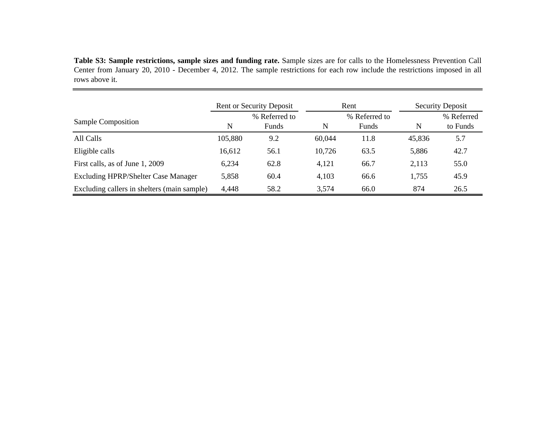Table S3: Sample restrictions, sample sizes and funding rate. Sample sizes are for calls to the Homelessness Prevention Call Center from January 20, 2010 - December 4, 2012. The sample restrictions for each row include the restrictions imposed in all rows above it.

|                                             | <b>Rent or Security Deposit</b> |                        |        | Rent                   |        | <b>Security Deposit</b> |
|---------------------------------------------|---------------------------------|------------------------|--------|------------------------|--------|-------------------------|
| Sample Composition                          | N                               | % Referred to<br>Funds | N      | % Referred to<br>Funds | N      | % Referred<br>to Funds  |
| All Calls                                   | 105,880                         | 9.2                    | 60,044 | 11.8                   | 45,836 | 5.7                     |
| Eligible calls                              | 16,612                          | 56.1                   | 10,726 | 63.5                   | 5,886  | 42.7                    |
| First calls, as of June 1, 2009             | 6,234                           | 62.8                   | 4,121  | 66.7                   | 2,113  | 55.0                    |
| <b>Excluding HPRP/Shelter Case Manager</b>  | 5,858                           | 60.4                   | 4,103  | 66.6                   | 1,755  | 45.9                    |
| Excluding callers in shelters (main sample) | 4,448                           | 58.2                   | 3,574  | 66.0                   | 874    | 26.5                    |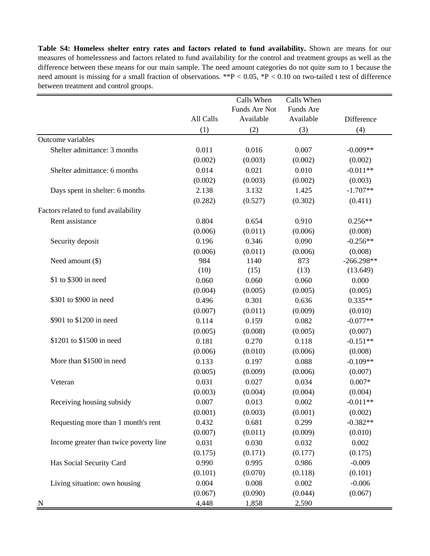**Table S4: Homeless shelter entry rates and factors related to fund availability.** Shown are means for our measures of homelessness and factors related to fund availability for the control and treatment groups as well as the difference between these means for our main sample. The need amount categories do not quite sum to 1 because the need amount is missing for a small fraction of observations. \*\*P < 0.05, \*P < 0.10 on two-tailed t test of difference between treatment and control groups.

|                                        |           | Calls When    | Calls When |              |
|----------------------------------------|-----------|---------------|------------|--------------|
|                                        |           | Funds Are Not | Funds Are  |              |
|                                        | All Calls | Available     | Available  | Difference   |
|                                        | (1)       | (2)           | (3)        | (4)          |
| Outcome variables                      |           |               |            |              |
| Shelter admittance: 3 months           | 0.011     | 0.016         | 0.007      | $-0.009**$   |
|                                        | (0.002)   | (0.003)       | (0.002)    | (0.002)      |
| Shelter admittance: 6 months           | 0.014     | 0.021         | 0.010      | $-0.011**$   |
|                                        | (0.002)   | (0.003)       | (0.002)    | (0.003)      |
| Days spent in shelter: 6 months        | 2.138     | 3.132         | 1.425      | $-1.707**$   |
|                                        | (0.282)   | (0.527)       | (0.302)    | (0.411)      |
| Factors related to fund availability   |           |               |            |              |
| Rent assistance                        | 0.804     | 0.654         | 0.910      | $0.256**$    |
|                                        | (0.006)   | (0.011)       | (0.006)    | (0.008)      |
| Security deposit                       | 0.196     | 0.346         | 0.090      | $-0.256**$   |
|                                        | (0.006)   | (0.011)       | (0.006)    | (0.008)      |
| Need amount $(\$)$                     | 984       | 1140          | 873        | $-266.298**$ |
|                                        | (10)      | (15)          | (13)       | (13.649)     |
| \$1 to \$300 in need                   | 0.060     | 0.060         | 0.060      | 0.000        |
|                                        | (0.004)   | (0.005)       | (0.005)    | (0.005)      |
| \$301 to \$900 in need                 | 0.496     | 0.301         | 0.636      | $0.335**$    |
|                                        | (0.007)   | (0.011)       | (0.009)    | (0.010)      |
| \$901 to \$1200 in need                | 0.114     | 0.159         | 0.082      | $-0.077**$   |
|                                        | (0.005)   | (0.008)       | (0.005)    | (0.007)      |
| \$1201 to \$1500 in need               | 0.181     | 0.270         | 0.118      | $-0.151**$   |
|                                        | (0.006)   | (0.010)       | (0.006)    | (0.008)      |
| More than \$1500 in need               | 0.133     | 0.197         | 0.088      | $-0.109**$   |
|                                        | (0.005)   | (0.009)       | (0.006)    | (0.007)      |
| Veteran                                | 0.031     | 0.027         | 0.034      | $0.007*$     |
|                                        | (0.003)   | (0.004)       | (0.004)    | (0.004)      |
| Receiving housing subsidy              | 0.007     | 0.013         | 0.002      | $-0.011**$   |
|                                        | (0.001)   | (0.003)       | (0.001)    | (0.002)      |
| Requesting more than 1 month's rent    | 0.432     | 0.681         | 0.299      | $-0.382**$   |
|                                        | (0.007)   | (0.011)       | (0.009)    | (0.010)      |
| Income greater than twice poverty line | 0.031     | 0.030         | 0.032      | 0.002        |
|                                        | (0.175)   | (0.171)       | (0.177)    | (0.175)      |
| Has Social Security Card               | 0.990     | 0.995         | 0.986      | $-0.009$     |
|                                        | (0.101)   | (0.070)       | (0.118)    | (0.101)      |
| Living situation: own housing          | 0.004     | 0.008         | 0.002      | $-0.006$     |
|                                        | (0.067)   | (0.090)       | (0.044)    | (0.067)      |
| N                                      | 4,448     | 1,858         | 2,590      |              |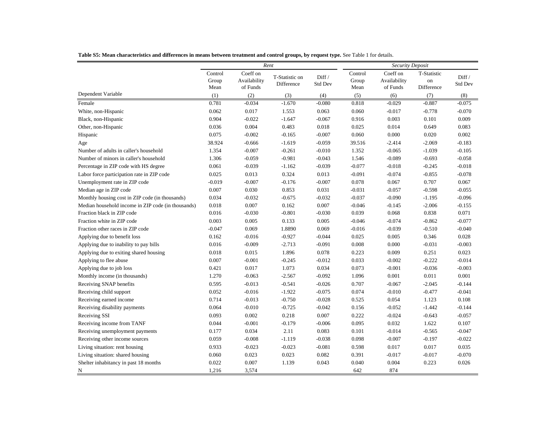|                                                    |                          | Rent                                 |                              |                   |                          | <b>Security Deposit</b>              |                                 |                          |
|----------------------------------------------------|--------------------------|--------------------------------------|------------------------------|-------------------|--------------------------|--------------------------------------|---------------------------------|--------------------------|
|                                                    | Control<br>Group<br>Mean | Coeff on<br>Availability<br>of Funds | T-Statistic on<br>Difference | Diff /<br>Std Dev | Control<br>Group<br>Mean | Coeff on<br>Availability<br>of Funds | T-Statistic<br>on<br>Difference | Diff /<br><b>Std Dev</b> |
| Dependent Variable                                 | (1)                      | (2)                                  | (3)                          | (4)               | (5)                      | (6)                                  | (7)                             | (8)                      |
| Female                                             | 0.781                    | $-0.034$                             | $-1.670$                     | $-0.080$          | 0.818                    | $-0.029$                             | $-0.887$                        | $-0.075$                 |
| White, non-Hispanic                                | 0.062                    | 0.017                                | 1.553                        | 0.063             | 0.060                    | $-0.017$                             | $-0.778$                        | $-0.070$                 |
| Black, non-Hispanic                                | 0.904                    | $-0.022$                             | $-1.647$                     | $-0.067$          | 0.916                    | 0.003                                | 0.101                           | 0.009                    |
| Other, non-Hispanic                                | 0.036                    | 0.004                                | 0.483                        | 0.018             | 0.025                    | 0.014                                | 0.649                           | 0.083                    |
| Hispanic                                           | 0.075                    | $-0.002$                             | $-0.165$                     | $-0.007$          | 0.060                    | 0.000                                | 0.020                           | 0.002                    |
| Age                                                | 38.924                   | $-0.666$                             | $-1.619$                     | $-0.059$          | 39.516                   | $-2.414$                             | $-2.069$                        | $-0.183$                 |
| Number of adults in caller's household             | 1.354                    | $-0.007$                             | $-0.261$                     | $-0.010$          | 1.352                    | $-0.065$                             | $-1.039$                        | $-0.105$                 |
| Number of minors in caller's household             | 1.306                    | $-0.059$                             | $-0.981$                     | $-0.043$          | 1.546                    | $-0.089$                             | $-0.693$                        | $-0.058$                 |
| Percentage in ZIP code with HS degree              | 0.061                    | $-0.039$                             | $-1.162$                     | $-0.039$          | $-0.077$                 | $-0.018$                             | $-0.245$                        | $-0.018$                 |
| Labor force participation rate in ZIP code         | 0.025                    | 0.013                                | 0.324                        | 0.013             | $-0.091$                 | $-0.074$                             | $-0.855$                        | $-0.078$                 |
| Unemployment rate in ZIP code                      | $-0.019$                 | $-0.007$                             | $-0.176$                     | $-0.007$          | 0.078                    | 0.067                                | 0.707                           | 0.067                    |
| Median age in ZIP code                             | 0.007                    | 0.030                                | 0.853                        | 0.031             | $-0.031$                 | $-0.057$                             | $-0.598$                        | $-0.055$                 |
| Monthly housing cost in ZIP code (in thousands)    | 0.034                    | $-0.032$                             | $-0.675$                     | $-0.032$          | $-0.037$                 | $-0.090$                             | $-1.195$                        | $-0.096$                 |
| Median household income in ZIP code (in thousands) | 0.018                    | 0.007                                | 0.162                        | 0.007             | $-0.046$                 | $-0.145$                             | $-2.006$                        | $-0.155$                 |
| Fraction black in ZIP code                         | 0.016                    | $-0.030$                             | $-0.801$                     | $-0.030$          | 0.039                    | 0.068                                | 0.838                           | 0.071                    |
| Fraction white in ZIP code                         | 0.003                    | 0.005                                | 0.133                        | 0.005             | $-0.046$                 | $-0.074$                             | $-0.862$                        | $-0.077$                 |
| Fraction other races in ZIP code                   | $-0.047$                 | 0.069                                | 1.8890                       | 0.069             | $-0.016$                 | $-0.039$                             | $-0.510$                        | $-0.040$                 |
| Applying due to benefit loss                       | 0.162                    | $-0.016$                             | $-0.927$                     | $-0.044$          | 0.025                    | 0.005                                | 0.346                           | 0.028                    |
| Applying due to inability to pay bills             | 0.016                    | $-0.009$                             | $-2.713$                     | $-0.091$          | 0.008                    | 0.000                                | $-0.031$                        | $-0.003$                 |
| Applying due to exiting shared housing             | 0.018                    | 0.015                                | 1.896                        | 0.078             | 0.223                    | 0.009                                | 0.251                           | 0.023                    |
| Applying to flee abuse                             | 0.007                    | $-0.001$                             | $-0.245$                     | $-0.012$          | 0.033                    | $-0.002$                             | $-0.222$                        | $-0.014$                 |
| Applying due to job loss                           | 0.421                    | 0.017                                | 1.073                        | 0.034             | 0.073                    | $-0.001$                             | $-0.036$                        | $-0.003$                 |
| Monthly income (in thousands)                      | 1.270                    | $-0.063$                             | $-2.567$                     | $-0.092$          | 1.096                    | 0.001                                | 0.011                           | 0.001                    |
| Receiving SNAP benefits                            | 0.595                    | $-0.013$                             | $-0.541$                     | $-0.026$          | 0.707                    | $-0.067$                             | $-2.045$                        | $-0.144$                 |
| Receiving child support                            | 0.052                    | $-0.016$                             | $-1.922$                     | $-0.075$          | 0.074                    | $-0.010$                             | $-0.477$                        | $-0.041$                 |
| Receiving earned income                            | 0.714                    | $-0.013$                             | $-0.750$                     | $-0.028$          | 0.525                    | 0.054                                | 1.123                           | 0.108                    |
| Receiving disability payments                      | 0.064                    | $-0.010$                             | $-0.725$                     | $-0.042$          | 0.156                    | $-0.052$                             | $-1.442$                        | $-0.144$                 |
| Receiving SSI                                      | 0.093                    | 0.002                                | 0.218                        | 0.007             | 0.222                    | $-0.024$                             | $-0.643$                        | $-0.057$                 |
| Receiving income from TANF                         | 0.044                    | $-0.001$                             | $-0.179$                     | $-0.006$          | 0.095                    | 0.032                                | 1.622                           | 0.107                    |
| Receiving unemployment payments                    | 0.177                    | 0.034                                | 2.11                         | 0.083             | 0.101                    | $-0.014$                             | $-0.565$                        | $-0.047$                 |
| Receiving other income sources                     | 0.059                    | $-0.008$                             | $-1.119$                     | $-0.038$          | 0.098                    | $-0.007$                             | $-0.197$                        | $-0.022$                 |
| Living situation: rent housing                     | 0.933                    | $-0.023$                             | $-0.023$                     | $-0.081$          | 0.598                    | 0.017                                | 0.017                           | 0.035                    |
| Living situation: shared housing                   | 0.060                    | 0.023                                | 0.023                        | 0.082             | 0.391                    | $-0.017$                             | $-0.017$                        | $-0.070$                 |
| Shelter inhabitancy in past 18 months              | 0.022                    | 0.007                                | 1.139                        | 0.043             | 0.040                    | 0.004                                | 0.223                           | 0.026                    |
| N                                                  | 1,216                    | 3,574                                |                              |                   | 642                      | 874                                  |                                 |                          |

Table S5: Mean characteristics and differences in means between treatment and control groups, by request type. See Table 1 for details.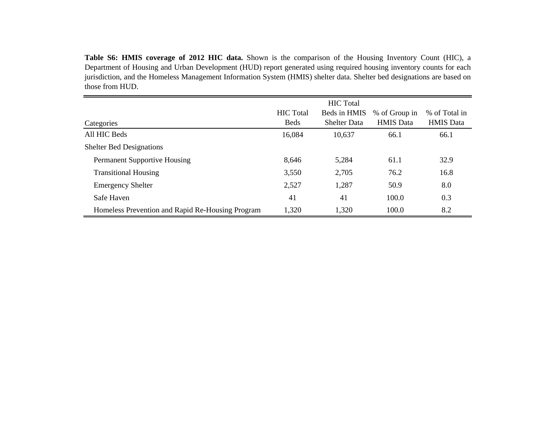**Table S6: HMIS coverage of 2012 HIC data.** Shown is the comparison of the Housing Inventory Count (HIC), <sup>a</sup> Department of Housing and Urban Development (HUD) repor<sup>t</sup> generated using required housing inventory counts for each jurisdiction, and the Homeless Management Information System (HMIS) shelter data. Shelter bed designations are based on those from HUD.

|                                                  |                  | <b>HIC</b> Total    |                  |                  |
|--------------------------------------------------|------------------|---------------------|------------------|------------------|
|                                                  | <b>HIC</b> Total | Beds in HMIS        | % of Group in    | % of Total in    |
| Categories                                       | <b>Beds</b>      | <b>Shelter Data</b> | <b>HMIS</b> Data | <b>HMIS</b> Data |
| All HIC Beds                                     | 16,084           | 10,637              | 66.1             | 66.1             |
| <b>Shelter Bed Designations</b>                  |                  |                     |                  |                  |
| <b>Permanent Supportive Housing</b>              | 8,646            | 5,284               | 61.1             | 32.9             |
| <b>Transitional Housing</b>                      | 3,550            | 2,705               | 76.2             | 16.8             |
| <b>Emergency Shelter</b>                         | 2,527            | 1,287               | 50.9             | 8.0              |
| Safe Haven                                       | 41               | 41                  | 100.0            | 0.3              |
| Homeless Prevention and Rapid Re-Housing Program | 1,320            | 1,320               | 100.0            | 8.2              |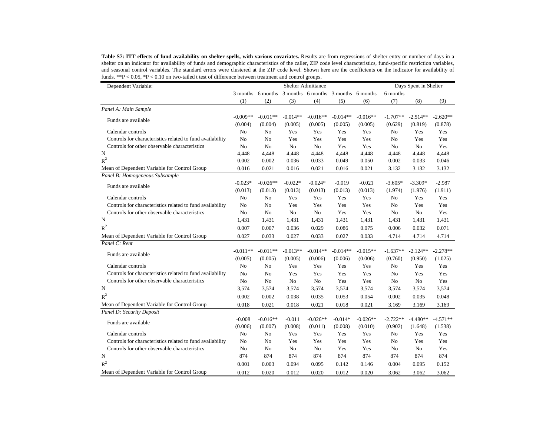Table S7: ITT effects of fund availability on shelter spells, with various covariates. Results are from regressions of shelter entry or number of days in a shelter on an indicator for availability of funds and demographic characteristics of the caller, ZIP code level characteristics, fund-specific restriction variables, and seasonal control variables. The standard errors were clustered at the ZIP code level. Shown here are the coefficients on the indicator for availability of funds. \*\*P < 0.05, \*P < 0.10 on two-tailed t test of difference between treatment and control groups.

| Dependent Variable:                                       |                |                   |            | <b>Shelter Admittance</b> |            |                   | Days Spent in Shelter |            |            |  |
|-----------------------------------------------------------|----------------|-------------------|------------|---------------------------|------------|-------------------|-----------------------|------------|------------|--|
|                                                           |                | 3 months 6 months |            | 3 months 6 months         |            | 3 months 6 months | 6 months              |            |            |  |
|                                                           | (1)            | (2)               | (3)        | (4)                       | (5)        | (6)               | (7)                   | (8)        | (9)        |  |
| Panel A: Main Sample                                      |                |                   |            |                           |            |                   |                       |            |            |  |
|                                                           | $-0.009**$     | $-0.011**$        | $-0.014**$ | $-0.016**$                | $-0.014**$ | $-0.016**$        | $-1.707**$            | $-2.514**$ | $-2.620**$ |  |
| Funds are available                                       | (0.004)        | (0.004)           | (0.005)    | (0.005)                   | (0.005)    | (0.005)           | (0.629)               | (0.819)    | (0.878)    |  |
| Calendar controls                                         | No             | No                | Yes        | Yes                       | Yes        | Yes               | No                    | Yes        | Yes        |  |
| Controls for characteristics related to fund availability | No             | No                | Yes        | Yes                       | Yes        | Yes               | No                    | Yes        | Yes        |  |
| Controls for other observable characteristics             | No             | No                | No         | No                        | Yes        | Yes               | No                    | No         | Yes        |  |
| N                                                         | 4,448          | 4,448             | 4,448      | 4,448                     | 4,448      | 4,448             | 4,448                 | 4,448      | 4,448      |  |
| $R^2$                                                     | 0.002          | 0.002             | 0.036      | 0.033                     | 0.049      | 0.050             | 0.002                 | 0.033      | 0.046      |  |
| Mean of Dependent Variable for Control Group              | 0.016          | 0.021             | 0.016      | 0.021                     | 0.016      | 0.021             | 3.132                 | 3.132      | 3.132      |  |
| Panel B: Homogeneous Subsample                            |                |                   |            |                           |            |                   |                       |            |            |  |
| Funds are available                                       | $-0.023*$      | $-0.026**$        | $-0.022*$  | $-0.024*$                 | $-0.019$   | $-0.021$          | $-3.605*$             | $-3.309*$  | $-2.987$   |  |
|                                                           | (0.013)        | (0.013)           | (0.013)    | (0.013)                   | (0.013)    | (0.013)           | (1.974)               | (1.976)    | (1.911)    |  |
| Calendar controls                                         | No             | No                | Yes        | Yes                       | Yes        | Yes               | No                    | Yes        | Yes        |  |
| Controls for characteristics related to fund availability | No             | No                | Yes        | Yes                       | Yes        | Yes               | No                    | Yes        | Yes        |  |
| Controls for other observable characteristics             | N <sub>o</sub> | No                | No         | No                        | Yes        | Yes               | No                    | No         | Yes        |  |
| N                                                         | 1,431          | 1,431             | 1,431      | 1,431                     | 1,431      | 1,431             | 1,431                 | 1,431      | 1,431      |  |
| $R^2$                                                     | 0.007          | 0.007             | 0.036      | 0.029                     | 0.086      | 0.075             | 0.006                 | 0.032      | 0.071      |  |
| Mean of Dependent Variable for Control Group              | 0.027          | 0.033             | 0.027      | 0.033                     | 0.027      | 0.033             | 4.714                 | 4.714      | 4.714      |  |
| Panel C: Rent                                             |                |                   |            |                           |            |                   |                       |            |            |  |
|                                                           | $-0.011**$     | $-0.011**$        | $-0.013**$ | $-0.014**$                | $-0.014**$ | $-0.015**$        | $-1.637**$            | $-2.124**$ | $-2.278**$ |  |
| Funds are available                                       | (0.005)        | (0.005)           | (0.005)    | (0.006)                   | (0.006)    | (0.006)           | (0.760)               | (0.950)    | (1.025)    |  |
| Calendar controls                                         | N <sub>o</sub> | No                | Yes        | Yes                       | Yes        | Yes               | No                    | Yes        | Yes        |  |
| Controls for characteristics related to fund availability | No             | No                | Yes        | Yes                       | Yes        | Yes               | No                    | Yes        | Yes        |  |
| Controls for other observable characteristics             | No             | No                | $\rm No$   | No                        | Yes        | Yes               | No                    | No         | Yes        |  |
| N                                                         | 3,574          | 3,574             | 3,574      | 3,574                     | 3,574      | 3,574             | 3,574                 | 3,574      | 3,574      |  |
| $R^2$                                                     | 0.002          | 0.002             | 0.038      | 0.035                     | 0.053      | 0.054             | 0.002                 | 0.035      | 0.048      |  |
| Mean of Dependent Variable for Control Group              | 0.018          | 0.021             | 0.018      | 0.021                     | 0.018      | 0.021             | 3.169                 | 3.169      | 3.169      |  |
| Panel D: Security Deposit                                 |                |                   |            |                           |            |                   |                       |            |            |  |
|                                                           | $-0.008$       | $-0.016**$        | $-0.011$   | $-0.026**$                | $-0.014*$  | $-0.026**$        | $-2.722**$            | $-4.480**$ | $-4.571**$ |  |
| Funds are available                                       | (0.006)        | (0.007)           | (0.008)    | (0.011)                   | (0.008)    | (0.010)           | (0.902)               | (1.648)    | (1.538)    |  |
| Calendar controls                                         | No             | No                | Yes        | Yes                       | Yes        | Yes               | No                    | Yes        | Yes        |  |
| Controls for characteristics related to fund availability | No             | No                | Yes        | Yes                       | Yes        | Yes               | No                    | Yes        | Yes        |  |
| Controls for other observable characteristics             | No             | No                | No         | No                        | Yes        | Yes               | No                    | No         | Yes        |  |
| N                                                         | 874            | 874               | 874        | 874                       | 874        | 874               | 874                   | 874        | 874        |  |
| $R^2$                                                     | 0.001          | 0.003             | 0.094      | 0.095                     | 0.142      | 0.146             | 0.004                 | 0.095      | 0.152      |  |
| Mean of Dependent Variable for Control Group              |                |                   |            |                           |            |                   |                       |            |            |  |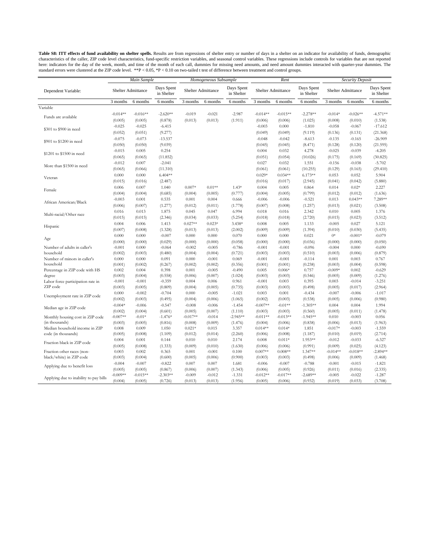Table S8: ITT effects of fund availability on shelter spells. Results are from regressions of shelter entry or number of days in a shelter on an indicator for availability of funds, demographic<br>characteristics of the calle here: indicators for the day of the week, month, and time of the month of each call, dummies for missing need amounts, and need amount dummies interacted with quarter-year dummies. The<br>standard errors were clustered at the

| Days Spent<br>Days Spent<br>Days Spent<br>Days Spent<br>Shelter Admittance<br><b>Shelter Admittance</b><br>Shelter Admittance<br>Shelter Admittance<br>Dependent Variable:<br>in Shelter<br>in Shelter<br>in Shelter<br>in Shelter<br>3 months<br>6 months<br>6 months<br>3 months<br>6 months<br>6 months<br>3 months<br>6 months<br>6 months<br>3 months<br>6 months<br>6 months<br>Variable<br>$-0.014**$<br>$-0.016**$<br>$-2.620**$<br>$-0.019$<br>$-0.021$<br>$-2.987$<br>$-0.014**$<br>$-0.015**$<br>$-2.278**$<br>$-0.014*$<br>$-0.026**$<br>$-4.571**$<br>Funds are available<br>(0.005)<br>(0.005)<br>(0.878)<br>(0.013)<br>(0.013)<br>(1.911)<br>(0.006)<br>(1.025)<br>(0.010)<br>(0.006)<br>(0.008)<br>(1.538)<br>$-0.025$<br>$-0.025$<br>$-6.415$<br>$-0.003$<br>0.000<br>$-1.810$<br>$-0.058$<br>$-0.067$<br>$-17.612$<br>\$301 to \$900 in need<br>(0.052)<br>(0.051)<br>(9.277)<br>(0.049)<br>(0.049)<br>(9.119)<br>(0.136)<br>(0.131)<br>(21.368)<br>$-0.075$<br>$-0.073$<br>$-13.537$<br>$-0.048$<br>$-8.613$<br>$-0.165$<br>$-26.909$<br>$-0.042$<br>$-0.135$<br>\$901 to \$1200 in need<br>(0.050)<br>(9.039)<br>(8.471)<br>(0.050)<br>(0.045)<br>(0.045)<br>(0.128)<br>(0.120)<br>(21.595)<br>$-0.015$<br>0.005<br>0.254<br>0.004<br>4.278<br>$-0.025$<br>$-0.039$<br>0.032<br>$-4.205$<br>\$1201 to \$1500 in need<br>(0.065)<br>(0.051)<br>(0.054)<br>(10.026)<br>(0.169)<br>(30.825)<br>(0.065)<br>(11.852)<br>(0.175)<br>$-0.012$<br>0.007<br>$-2.041$<br>0.027<br>0.032<br>$-0.038$<br>$-5.702$<br>1.551<br>$-0.156$<br>More than \$1500 in need<br>(0.065)<br>(0.066)<br>(11.310)<br>(0.061)<br>(0.061)<br>(10.255)<br>(0.129)<br>(0.165)<br>(29.410)<br>$6.404**$<br>$0.029*$<br>$6.173**$<br>0.000<br>0.000<br>$0.034**$<br>0.053<br>0.052<br>5.904<br>Veteran<br>(0.015)<br>(0.016)<br>(2.487)<br>(0.016)<br>(0.017)<br>(2.945)<br>(0.041)<br>(0.042)<br>(5.880)<br>$0.01**$<br>$0.02*$<br>0.006<br>0.007<br>1.040<br>$0.007*$<br>$1.43*$<br>0.004<br>0.005<br>0.864<br>0.014<br>2.227<br>Female<br>(0.004)<br>(0.685)<br>(0.004)<br>(0.799)<br>(0.004)<br>(0.004)<br>(0.005)<br>(0.777)<br>(0.005)<br>(0.012)<br>(0.012)<br>(1.636)<br>$0.043**$<br>7.289**<br>$-0.003$<br>0.001<br>0.535<br>0.001<br>0.004<br>$-0.006$<br>$-0.006$<br>$-0.521$<br>0.013<br>0.666<br>African American/Black<br>(0.006)<br>(0.007)<br>(1.277)<br>(0.012)<br>(0.011)<br>(1.778)<br>(0.007)<br>(0.008)<br>(1.257)<br>(0.013)<br>(0.021)<br>(3.508)<br>0.016<br>0.013<br>1.875<br>0.045<br>0.047<br>6.994<br>0.018<br>0.016<br>2.342<br>0.010<br>0.005<br>1.376<br>Multi-racial/Other race<br>(0.015)<br>(0.015)<br>(2.346)<br>(0.034)<br>(0.033)<br>(5.254)<br>(0.018)<br>(0.018)<br>(2.720)<br>(0.015)<br>(0.023)<br>(3.512)<br>0.004<br>$0.027**$<br>$0.023*$<br>0.008<br>0.027<br>5.121<br>0.006<br>1.413<br>$3.438*$<br>0.005<br>1.133<br>$-0.005$<br>Hispanic<br>(0.007)<br>(1.328)<br>(0.013)<br>(0.009)<br>(1.394)<br>(0.010)<br>(0.030)<br>(0.008)<br>(0.013)<br>(2.002)<br>(0.009)<br>(5.435)<br>$-0.007$<br>0.021<br>$-0.001*$<br>0.000<br>0.000<br>0.000<br>0.000<br>0.070<br>0.000<br>0.000<br>$0^*$<br>$-0.079$<br>Age<br>(0.000)<br>(0.029)<br>(0.036)<br>(0.000)<br>(0.000)<br>(0.000)<br>(0.000)<br>(0.058)<br>(0.000)<br>(0.000)<br>(0.000)<br>(0.050)<br>$-0.096$<br>Number of adults in caller's<br>$-0.001$<br>0.000<br>$-0.064$<br>$-0.002$<br>$-0.005$<br>$-0.786$<br>$-0.001$<br>$-0.004$<br>0.000<br>$-0.690$<br>$-0.001$<br>household<br>(0.002)<br>(0.480)<br>(0.004)<br>(0.003)<br>(0.510)<br>(0.006)<br>(0.879)<br>(0.003)<br>(0.004)<br>(0.721)<br>(0.003)<br>(0.003)<br>0.000<br>$0.000\,$<br>0.091<br>0.000<br>$-0.001$<br>$-0.001$<br>$-0.001$<br>$-0.114$<br>0.001<br>0.003<br>0.767<br>0.069<br>Number of minors in caller's<br>household<br>(0.001)<br>(0.002)<br>(0.267)<br>(0.002)<br>(0.002)<br>(0.356)<br>(0.001)<br>(0.001)<br>(0.238)<br>(0.003)<br>(0.004)<br>(0.598)<br>0.398<br>0.002<br>0.004<br>0.001<br>$-0.005$<br>$-0.490$<br>0.005<br>$0.006*$<br>0.757<br>$-0.009*$<br>0.002<br>$-0.629$<br>Percentage in ZIP code with HS<br>degree<br>(0.003)<br>(0.004)<br>(0.558)<br>(0.006)<br>(0.007)<br>(1.024)<br>(0.003)<br>(0.003)<br>(0.546)<br>(0.005)<br>(0.009)<br>(1.276)<br>$-0.001$<br>$-0.359$<br>0.006<br>$-0.001$<br>0.395<br>$-0.014$<br>$-0.001$<br>0.004<br>0.961<br>0.003<br>0.003<br>$-3.251$<br>Labor force participation rate in<br>ZIP code<br>(0.003)<br>(0.809)<br>(0.498)<br>(0.017)<br>(2.964)<br>(0.005)<br>(0.004)<br>(0.005)<br>(0.735)<br>(0.003)<br>(0.003)<br>(0.005)<br>0.000<br>$-0.002$<br>$-0.704$<br>0.000<br>$-0.005$<br>$-1.021$<br>0.003<br>0.001<br>$-0.434$<br>$-0.007$<br>$-0.006$<br>$-1.017$<br>Unemployment rate in ZIP code<br>(0.002)<br>(0.006)<br>(0.980)<br>(0.003)<br>(0.495)<br>(0.004)<br>(0.006)<br>(1.065)<br>(0.002)<br>(0.003)<br>(0.538)<br>(0.005)<br>$-0.004*$<br>$-0.547$<br>$-0.007**$<br>$-0.01**$<br>$-1.305**$<br>0.004<br>$-0.006$<br>$-0.008$<br>$-0.006$<br>$-1.454$<br>0.004<br>1.994<br>Median age in ZIP code<br>(0.002)<br>(0.004)<br>(0.601)<br>(0.005)<br>(0.007)<br>(0.003)<br>(0.003)<br>(0.560)<br>(0.005)<br>(0.011)<br>(1.478)<br>(1.110)<br>$-0.007**$<br>$-0.01*$<br>$-1.476*$<br>$-0.017**$<br>$-0.014$<br>$-2.945**$<br>$-0.011**$<br>$-0.013**$<br>$-1.945**$<br>0.010<br>$-0.003$<br>0.056<br>Monthly housing cost in ZIP code<br>(in thousands)<br>(0.003)<br>(0.005)<br>(0.816)<br>(0.008)<br>(0.009)<br>(1.476)<br>(0.004)<br>(0.006)<br>(0.838)<br>(0.006)<br>(0.013)<br>(1.963)<br>0.008<br>0.009<br>1.050<br>$0.021*$<br>0.015<br>3.357<br>$0.014**$<br>$0.014*$<br>1.851<br>$-0.017*$<br>$-0.003$<br>$-1.559$<br>Median household income in ZIP<br>code (in thousands)<br>(0.005)<br>(0.008)<br>(1.109)<br>(0.012)<br>(0.014)<br>(2.260)<br>(0.006)<br>(0.008)<br>(1.187)<br>(0.010)<br>(0.019)<br>(2.714)<br>0.004<br>0.010<br>0.010<br>$0.008\,$<br>1.953**<br>$-0.033$<br>$-6.327$<br>0.001<br>0.144<br>2.174<br>$0.011*$<br>$-0.012$<br>Fraction black in ZIP code<br>(0.005)<br>(0.008)<br>(1.333)<br>(0.010)<br>(0.006)<br>(0.991)<br>(0.009)<br>(0.025)<br>(0.009)<br>(1.630)<br>(0.006)<br>(4.123)<br>0.003<br>0.365<br>$-0.001$<br>$0.007**$<br>$1.347**$<br>$-0.018**$<br>$-2.894**$<br>Fraction other races (non-<br>0.002<br>0.001<br>0.100<br>$0.008**$<br>$-0.014**$<br>black/white) in ZIP code<br>(0.003)<br>(0.004)<br>(0.600)<br>(0.006)<br>(0.900)<br>(0.003)<br>(0.003)<br>(0.498)<br>(0.009)<br>(0.005)<br>(0.006)<br>(1.468)<br>$-0.004$<br>$-0.822$<br>0.007<br>$-0.006$<br>$-0.788$<br>$-0.015$<br>$-1.821$<br>$-0.007$<br>0.007<br>1.681<br>$-0.007$<br>$-0.001$<br>Applying due to benefit loss<br>(0.005)<br>(0.005)<br>(0.867)<br>(0.006)<br>(0.007)<br>(1.343)<br>(0.006)<br>(0.005)<br>(0.926)<br>(0.011)<br>(0.016)<br>(2.335)<br>$-0.009**$<br>$-0.015**$<br>$-2.303**$<br>$-0.012$<br>$-1.331$<br>$-0.012**$<br>$-0.017**$<br>$-2.689**$<br>$-0.005$<br>$-0.022$<br>$-1.287$<br>$-0.009$<br>Applying due to inability to pay bills |         | <b>Main Sample</b> |         |         | Homogeneous Subsample |         |         | Rent    |         |         | <b>Security Deposit</b> |         |
|-----------------------------------------------------------------------------------------------------------------------------------------------------------------------------------------------------------------------------------------------------------------------------------------------------------------------------------------------------------------------------------------------------------------------------------------------------------------------------------------------------------------------------------------------------------------------------------------------------------------------------------------------------------------------------------------------------------------------------------------------------------------------------------------------------------------------------------------------------------------------------------------------------------------------------------------------------------------------------------------------------------------------------------------------------------------------------------------------------------------------------------------------------------------------------------------------------------------------------------------------------------------------------------------------------------------------------------------------------------------------------------------------------------------------------------------------------------------------------------------------------------------------------------------------------------------------------------------------------------------------------------------------------------------------------------------------------------------------------------------------------------------------------------------------------------------------------------------------------------------------------------------------------------------------------------------------------------------------------------------------------------------------------------------------------------------------------------------------------------------------------------------------------------------------------------------------------------------------------------------------------------------------------------------------------------------------------------------------------------------------------------------------------------------------------------------------------------------------------------------------------------------------------------------------------------------------------------------------------------------------------------------------------------------------------------------------------------------------------------------------------------------------------------------------------------------------------------------------------------------------------------------------------------------------------------------------------------------------------------------------------------------------------------------------------------------------------------------------------------------------------------------------------------------------------------------------------------------------------------------------------------------------------------------------------------------------------------------------------------------------------------------------------------------------------------------------------------------------------------------------------------------------------------------------------------------------------------------------------------------------------------------------------------------------------------------------------------------------------------------------------------------------------------------------------------------------------------------------------------------------------------------------------------------------------------------------------------------------------------------------------------------------------------------------------------------------------------------------------------------------------------------------------------------------------------------------------------------------------------------------------------------------------------------------------------------------------------------------------------------------------------------------------------------------------------------------------------------------------------------------------------------------------------------------------------------------------------------------------------------------------------------------------------------------------------------------------------------------------------------------------------------------------------------------------------------------------------------------------------------------------------------------------------------------------------------------------------------------------------------------------------------------------------------------------------------------------------------------------------------------------------------------------------------------------------------------------------------------------------------------------------------------------------------------------------------------------------------------------------------------------------------------------------------------------------------------------------------------------------------------------------------------------------------------------------------------------------------------------------------------------------------------------------------------------------------------------------------------------------------------------------------------------------------------------------------------------------------------------------------------------------------------------------------------------------------------------------------------------------------------------------------------------------------------------------------------------------------------------------------------------------------------------------------------------------------------------------------------------------------------------------------------------------------------------------------------------------------------------------------------------------------------------------------------------------------------------------------------------------------------------------------------------------------------------------------------------------------------------------------------------------------------------------------------------------------------------------------------------------------------------------------------------------------------------------------------------------------------------------------------------------------------------------------------------------------------------------------------------------------------------------------------|---------|--------------------|---------|---------|-----------------------|---------|---------|---------|---------|---------|-------------------------|---------|
|                                                                                                                                                                                                                                                                                                                                                                                                                                                                                                                                                                                                                                                                                                                                                                                                                                                                                                                                                                                                                                                                                                                                                                                                                                                                                                                                                                                                                                                                                                                                                                                                                                                                                                                                                                                                                                                                                                                                                                                                                                                                                                                                                                                                                                                                                                                                                                                                                                                                                                                                                                                                                                                                                                                                                                                                                                                                                                                                                                                                                                                                                                                                                                                                                                                                                                                                                                                                                                                                                                                                                                                                                                                                                                                                                                                                                                                                                                                                                                                                                                                                                                                                                                                                                                                                                                                                                                                                                                                                                                                                                                                                                                                                                                                                                                                                                                                                                                                                                                                                                                                                                                                                                                                                                                                                                                                                                                                                                                                                                                                                                                                                                                                                                                                                                                                                                                                                                                                                                                                                                                                                                                                                                                                                                                                                                                                                                                                                                                                                                                                                                                                                                                                                                                                                                                                                                                                                                                                                                                                                                       |         |                    |         |         |                       |         |         |         |         |         |                         |         |
|                                                                                                                                                                                                                                                                                                                                                                                                                                                                                                                                                                                                                                                                                                                                                                                                                                                                                                                                                                                                                                                                                                                                                                                                                                                                                                                                                                                                                                                                                                                                                                                                                                                                                                                                                                                                                                                                                                                                                                                                                                                                                                                                                                                                                                                                                                                                                                                                                                                                                                                                                                                                                                                                                                                                                                                                                                                                                                                                                                                                                                                                                                                                                                                                                                                                                                                                                                                                                                                                                                                                                                                                                                                                                                                                                                                                                                                                                                                                                                                                                                                                                                                                                                                                                                                                                                                                                                                                                                                                                                                                                                                                                                                                                                                                                                                                                                                                                                                                                                                                                                                                                                                                                                                                                                                                                                                                                                                                                                                                                                                                                                                                                                                                                                                                                                                                                                                                                                                                                                                                                                                                                                                                                                                                                                                                                                                                                                                                                                                                                                                                                                                                                                                                                                                                                                                                                                                                                                                                                                                                                       |         |                    |         |         |                       |         |         |         |         |         |                         |         |
|                                                                                                                                                                                                                                                                                                                                                                                                                                                                                                                                                                                                                                                                                                                                                                                                                                                                                                                                                                                                                                                                                                                                                                                                                                                                                                                                                                                                                                                                                                                                                                                                                                                                                                                                                                                                                                                                                                                                                                                                                                                                                                                                                                                                                                                                                                                                                                                                                                                                                                                                                                                                                                                                                                                                                                                                                                                                                                                                                                                                                                                                                                                                                                                                                                                                                                                                                                                                                                                                                                                                                                                                                                                                                                                                                                                                                                                                                                                                                                                                                                                                                                                                                                                                                                                                                                                                                                                                                                                                                                                                                                                                                                                                                                                                                                                                                                                                                                                                                                                                                                                                                                                                                                                                                                                                                                                                                                                                                                                                                                                                                                                                                                                                                                                                                                                                                                                                                                                                                                                                                                                                                                                                                                                                                                                                                                                                                                                                                                                                                                                                                                                                                                                                                                                                                                                                                                                                                                                                                                                                                       |         |                    |         |         |                       |         |         |         |         |         |                         |         |
|                                                                                                                                                                                                                                                                                                                                                                                                                                                                                                                                                                                                                                                                                                                                                                                                                                                                                                                                                                                                                                                                                                                                                                                                                                                                                                                                                                                                                                                                                                                                                                                                                                                                                                                                                                                                                                                                                                                                                                                                                                                                                                                                                                                                                                                                                                                                                                                                                                                                                                                                                                                                                                                                                                                                                                                                                                                                                                                                                                                                                                                                                                                                                                                                                                                                                                                                                                                                                                                                                                                                                                                                                                                                                                                                                                                                                                                                                                                                                                                                                                                                                                                                                                                                                                                                                                                                                                                                                                                                                                                                                                                                                                                                                                                                                                                                                                                                                                                                                                                                                                                                                                                                                                                                                                                                                                                                                                                                                                                                                                                                                                                                                                                                                                                                                                                                                                                                                                                                                                                                                                                                                                                                                                                                                                                                                                                                                                                                                                                                                                                                                                                                                                                                                                                                                                                                                                                                                                                                                                                                                       |         |                    |         |         |                       |         |         |         |         |         |                         |         |
|                                                                                                                                                                                                                                                                                                                                                                                                                                                                                                                                                                                                                                                                                                                                                                                                                                                                                                                                                                                                                                                                                                                                                                                                                                                                                                                                                                                                                                                                                                                                                                                                                                                                                                                                                                                                                                                                                                                                                                                                                                                                                                                                                                                                                                                                                                                                                                                                                                                                                                                                                                                                                                                                                                                                                                                                                                                                                                                                                                                                                                                                                                                                                                                                                                                                                                                                                                                                                                                                                                                                                                                                                                                                                                                                                                                                                                                                                                                                                                                                                                                                                                                                                                                                                                                                                                                                                                                                                                                                                                                                                                                                                                                                                                                                                                                                                                                                                                                                                                                                                                                                                                                                                                                                                                                                                                                                                                                                                                                                                                                                                                                                                                                                                                                                                                                                                                                                                                                                                                                                                                                                                                                                                                                                                                                                                                                                                                                                                                                                                                                                                                                                                                                                                                                                                                                                                                                                                                                                                                                                                       |         |                    |         |         |                       |         |         |         |         |         |                         |         |
|                                                                                                                                                                                                                                                                                                                                                                                                                                                                                                                                                                                                                                                                                                                                                                                                                                                                                                                                                                                                                                                                                                                                                                                                                                                                                                                                                                                                                                                                                                                                                                                                                                                                                                                                                                                                                                                                                                                                                                                                                                                                                                                                                                                                                                                                                                                                                                                                                                                                                                                                                                                                                                                                                                                                                                                                                                                                                                                                                                                                                                                                                                                                                                                                                                                                                                                                                                                                                                                                                                                                                                                                                                                                                                                                                                                                                                                                                                                                                                                                                                                                                                                                                                                                                                                                                                                                                                                                                                                                                                                                                                                                                                                                                                                                                                                                                                                                                                                                                                                                                                                                                                                                                                                                                                                                                                                                                                                                                                                                                                                                                                                                                                                                                                                                                                                                                                                                                                                                                                                                                                                                                                                                                                                                                                                                                                                                                                                                                                                                                                                                                                                                                                                                                                                                                                                                                                                                                                                                                                                                                       |         |                    |         |         |                       |         |         |         |         |         |                         |         |
|                                                                                                                                                                                                                                                                                                                                                                                                                                                                                                                                                                                                                                                                                                                                                                                                                                                                                                                                                                                                                                                                                                                                                                                                                                                                                                                                                                                                                                                                                                                                                                                                                                                                                                                                                                                                                                                                                                                                                                                                                                                                                                                                                                                                                                                                                                                                                                                                                                                                                                                                                                                                                                                                                                                                                                                                                                                                                                                                                                                                                                                                                                                                                                                                                                                                                                                                                                                                                                                                                                                                                                                                                                                                                                                                                                                                                                                                                                                                                                                                                                                                                                                                                                                                                                                                                                                                                                                                                                                                                                                                                                                                                                                                                                                                                                                                                                                                                                                                                                                                                                                                                                                                                                                                                                                                                                                                                                                                                                                                                                                                                                                                                                                                                                                                                                                                                                                                                                                                                                                                                                                                                                                                                                                                                                                                                                                                                                                                                                                                                                                                                                                                                                                                                                                                                                                                                                                                                                                                                                                                                       |         |                    |         |         |                       |         |         |         |         |         |                         |         |
|                                                                                                                                                                                                                                                                                                                                                                                                                                                                                                                                                                                                                                                                                                                                                                                                                                                                                                                                                                                                                                                                                                                                                                                                                                                                                                                                                                                                                                                                                                                                                                                                                                                                                                                                                                                                                                                                                                                                                                                                                                                                                                                                                                                                                                                                                                                                                                                                                                                                                                                                                                                                                                                                                                                                                                                                                                                                                                                                                                                                                                                                                                                                                                                                                                                                                                                                                                                                                                                                                                                                                                                                                                                                                                                                                                                                                                                                                                                                                                                                                                                                                                                                                                                                                                                                                                                                                                                                                                                                                                                                                                                                                                                                                                                                                                                                                                                                                                                                                                                                                                                                                                                                                                                                                                                                                                                                                                                                                                                                                                                                                                                                                                                                                                                                                                                                                                                                                                                                                                                                                                                                                                                                                                                                                                                                                                                                                                                                                                                                                                                                                                                                                                                                                                                                                                                                                                                                                                                                                                                                                       |         |                    |         |         |                       |         |         |         |         |         |                         |         |
|                                                                                                                                                                                                                                                                                                                                                                                                                                                                                                                                                                                                                                                                                                                                                                                                                                                                                                                                                                                                                                                                                                                                                                                                                                                                                                                                                                                                                                                                                                                                                                                                                                                                                                                                                                                                                                                                                                                                                                                                                                                                                                                                                                                                                                                                                                                                                                                                                                                                                                                                                                                                                                                                                                                                                                                                                                                                                                                                                                                                                                                                                                                                                                                                                                                                                                                                                                                                                                                                                                                                                                                                                                                                                                                                                                                                                                                                                                                                                                                                                                                                                                                                                                                                                                                                                                                                                                                                                                                                                                                                                                                                                                                                                                                                                                                                                                                                                                                                                                                                                                                                                                                                                                                                                                                                                                                                                                                                                                                                                                                                                                                                                                                                                                                                                                                                                                                                                                                                                                                                                                                                                                                                                                                                                                                                                                                                                                                                                                                                                                                                                                                                                                                                                                                                                                                                                                                                                                                                                                                                                       |         |                    |         |         |                       |         |         |         |         |         |                         |         |
|                                                                                                                                                                                                                                                                                                                                                                                                                                                                                                                                                                                                                                                                                                                                                                                                                                                                                                                                                                                                                                                                                                                                                                                                                                                                                                                                                                                                                                                                                                                                                                                                                                                                                                                                                                                                                                                                                                                                                                                                                                                                                                                                                                                                                                                                                                                                                                                                                                                                                                                                                                                                                                                                                                                                                                                                                                                                                                                                                                                                                                                                                                                                                                                                                                                                                                                                                                                                                                                                                                                                                                                                                                                                                                                                                                                                                                                                                                                                                                                                                                                                                                                                                                                                                                                                                                                                                                                                                                                                                                                                                                                                                                                                                                                                                                                                                                                                                                                                                                                                                                                                                                                                                                                                                                                                                                                                                                                                                                                                                                                                                                                                                                                                                                                                                                                                                                                                                                                                                                                                                                                                                                                                                                                                                                                                                                                                                                                                                                                                                                                                                                                                                                                                                                                                                                                                                                                                                                                                                                                                                       |         |                    |         |         |                       |         |         |         |         |         |                         |         |
|                                                                                                                                                                                                                                                                                                                                                                                                                                                                                                                                                                                                                                                                                                                                                                                                                                                                                                                                                                                                                                                                                                                                                                                                                                                                                                                                                                                                                                                                                                                                                                                                                                                                                                                                                                                                                                                                                                                                                                                                                                                                                                                                                                                                                                                                                                                                                                                                                                                                                                                                                                                                                                                                                                                                                                                                                                                                                                                                                                                                                                                                                                                                                                                                                                                                                                                                                                                                                                                                                                                                                                                                                                                                                                                                                                                                                                                                                                                                                                                                                                                                                                                                                                                                                                                                                                                                                                                                                                                                                                                                                                                                                                                                                                                                                                                                                                                                                                                                                                                                                                                                                                                                                                                                                                                                                                                                                                                                                                                                                                                                                                                                                                                                                                                                                                                                                                                                                                                                                                                                                                                                                                                                                                                                                                                                                                                                                                                                                                                                                                                                                                                                                                                                                                                                                                                                                                                                                                                                                                                                                       |         |                    |         |         |                       |         |         |         |         |         |                         |         |
|                                                                                                                                                                                                                                                                                                                                                                                                                                                                                                                                                                                                                                                                                                                                                                                                                                                                                                                                                                                                                                                                                                                                                                                                                                                                                                                                                                                                                                                                                                                                                                                                                                                                                                                                                                                                                                                                                                                                                                                                                                                                                                                                                                                                                                                                                                                                                                                                                                                                                                                                                                                                                                                                                                                                                                                                                                                                                                                                                                                                                                                                                                                                                                                                                                                                                                                                                                                                                                                                                                                                                                                                                                                                                                                                                                                                                                                                                                                                                                                                                                                                                                                                                                                                                                                                                                                                                                                                                                                                                                                                                                                                                                                                                                                                                                                                                                                                                                                                                                                                                                                                                                                                                                                                                                                                                                                                                                                                                                                                                                                                                                                                                                                                                                                                                                                                                                                                                                                                                                                                                                                                                                                                                                                                                                                                                                                                                                                                                                                                                                                                                                                                                                                                                                                                                                                                                                                                                                                                                                                                                       |         |                    |         |         |                       |         |         |         |         |         |                         |         |
|                                                                                                                                                                                                                                                                                                                                                                                                                                                                                                                                                                                                                                                                                                                                                                                                                                                                                                                                                                                                                                                                                                                                                                                                                                                                                                                                                                                                                                                                                                                                                                                                                                                                                                                                                                                                                                                                                                                                                                                                                                                                                                                                                                                                                                                                                                                                                                                                                                                                                                                                                                                                                                                                                                                                                                                                                                                                                                                                                                                                                                                                                                                                                                                                                                                                                                                                                                                                                                                                                                                                                                                                                                                                                                                                                                                                                                                                                                                                                                                                                                                                                                                                                                                                                                                                                                                                                                                                                                                                                                                                                                                                                                                                                                                                                                                                                                                                                                                                                                                                                                                                                                                                                                                                                                                                                                                                                                                                                                                                                                                                                                                                                                                                                                                                                                                                                                                                                                                                                                                                                                                                                                                                                                                                                                                                                                                                                                                                                                                                                                                                                                                                                                                                                                                                                                                                                                                                                                                                                                                                                       |         |                    |         |         |                       |         |         |         |         |         |                         |         |
|                                                                                                                                                                                                                                                                                                                                                                                                                                                                                                                                                                                                                                                                                                                                                                                                                                                                                                                                                                                                                                                                                                                                                                                                                                                                                                                                                                                                                                                                                                                                                                                                                                                                                                                                                                                                                                                                                                                                                                                                                                                                                                                                                                                                                                                                                                                                                                                                                                                                                                                                                                                                                                                                                                                                                                                                                                                                                                                                                                                                                                                                                                                                                                                                                                                                                                                                                                                                                                                                                                                                                                                                                                                                                                                                                                                                                                                                                                                                                                                                                                                                                                                                                                                                                                                                                                                                                                                                                                                                                                                                                                                                                                                                                                                                                                                                                                                                                                                                                                                                                                                                                                                                                                                                                                                                                                                                                                                                                                                                                                                                                                                                                                                                                                                                                                                                                                                                                                                                                                                                                                                                                                                                                                                                                                                                                                                                                                                                                                                                                                                                                                                                                                                                                                                                                                                                                                                                                                                                                                                                                       |         |                    |         |         |                       |         |         |         |         |         |                         |         |
|                                                                                                                                                                                                                                                                                                                                                                                                                                                                                                                                                                                                                                                                                                                                                                                                                                                                                                                                                                                                                                                                                                                                                                                                                                                                                                                                                                                                                                                                                                                                                                                                                                                                                                                                                                                                                                                                                                                                                                                                                                                                                                                                                                                                                                                                                                                                                                                                                                                                                                                                                                                                                                                                                                                                                                                                                                                                                                                                                                                                                                                                                                                                                                                                                                                                                                                                                                                                                                                                                                                                                                                                                                                                                                                                                                                                                                                                                                                                                                                                                                                                                                                                                                                                                                                                                                                                                                                                                                                                                                                                                                                                                                                                                                                                                                                                                                                                                                                                                                                                                                                                                                                                                                                                                                                                                                                                                                                                                                                                                                                                                                                                                                                                                                                                                                                                                                                                                                                                                                                                                                                                                                                                                                                                                                                                                                                                                                                                                                                                                                                                                                                                                                                                                                                                                                                                                                                                                                                                                                                                                       |         |                    |         |         |                       |         |         |         |         |         |                         |         |
|                                                                                                                                                                                                                                                                                                                                                                                                                                                                                                                                                                                                                                                                                                                                                                                                                                                                                                                                                                                                                                                                                                                                                                                                                                                                                                                                                                                                                                                                                                                                                                                                                                                                                                                                                                                                                                                                                                                                                                                                                                                                                                                                                                                                                                                                                                                                                                                                                                                                                                                                                                                                                                                                                                                                                                                                                                                                                                                                                                                                                                                                                                                                                                                                                                                                                                                                                                                                                                                                                                                                                                                                                                                                                                                                                                                                                                                                                                                                                                                                                                                                                                                                                                                                                                                                                                                                                                                                                                                                                                                                                                                                                                                                                                                                                                                                                                                                                                                                                                                                                                                                                                                                                                                                                                                                                                                                                                                                                                                                                                                                                                                                                                                                                                                                                                                                                                                                                                                                                                                                                                                                                                                                                                                                                                                                                                                                                                                                                                                                                                                                                                                                                                                                                                                                                                                                                                                                                                                                                                                                                       |         |                    |         |         |                       |         |         |         |         |         |                         |         |
|                                                                                                                                                                                                                                                                                                                                                                                                                                                                                                                                                                                                                                                                                                                                                                                                                                                                                                                                                                                                                                                                                                                                                                                                                                                                                                                                                                                                                                                                                                                                                                                                                                                                                                                                                                                                                                                                                                                                                                                                                                                                                                                                                                                                                                                                                                                                                                                                                                                                                                                                                                                                                                                                                                                                                                                                                                                                                                                                                                                                                                                                                                                                                                                                                                                                                                                                                                                                                                                                                                                                                                                                                                                                                                                                                                                                                                                                                                                                                                                                                                                                                                                                                                                                                                                                                                                                                                                                                                                                                                                                                                                                                                                                                                                                                                                                                                                                                                                                                                                                                                                                                                                                                                                                                                                                                                                                                                                                                                                                                                                                                                                                                                                                                                                                                                                                                                                                                                                                                                                                                                                                                                                                                                                                                                                                                                                                                                                                                                                                                                                                                                                                                                                                                                                                                                                                                                                                                                                                                                                                                       |         |                    |         |         |                       |         |         |         |         |         |                         |         |
|                                                                                                                                                                                                                                                                                                                                                                                                                                                                                                                                                                                                                                                                                                                                                                                                                                                                                                                                                                                                                                                                                                                                                                                                                                                                                                                                                                                                                                                                                                                                                                                                                                                                                                                                                                                                                                                                                                                                                                                                                                                                                                                                                                                                                                                                                                                                                                                                                                                                                                                                                                                                                                                                                                                                                                                                                                                                                                                                                                                                                                                                                                                                                                                                                                                                                                                                                                                                                                                                                                                                                                                                                                                                                                                                                                                                                                                                                                                                                                                                                                                                                                                                                                                                                                                                                                                                                                                                                                                                                                                                                                                                                                                                                                                                                                                                                                                                                                                                                                                                                                                                                                                                                                                                                                                                                                                                                                                                                                                                                                                                                                                                                                                                                                                                                                                                                                                                                                                                                                                                                                                                                                                                                                                                                                                                                                                                                                                                                                                                                                                                                                                                                                                                                                                                                                                                                                                                                                                                                                                                                       |         |                    |         |         |                       |         |         |         |         |         |                         |         |
|                                                                                                                                                                                                                                                                                                                                                                                                                                                                                                                                                                                                                                                                                                                                                                                                                                                                                                                                                                                                                                                                                                                                                                                                                                                                                                                                                                                                                                                                                                                                                                                                                                                                                                                                                                                                                                                                                                                                                                                                                                                                                                                                                                                                                                                                                                                                                                                                                                                                                                                                                                                                                                                                                                                                                                                                                                                                                                                                                                                                                                                                                                                                                                                                                                                                                                                                                                                                                                                                                                                                                                                                                                                                                                                                                                                                                                                                                                                                                                                                                                                                                                                                                                                                                                                                                                                                                                                                                                                                                                                                                                                                                                                                                                                                                                                                                                                                                                                                                                                                                                                                                                                                                                                                                                                                                                                                                                                                                                                                                                                                                                                                                                                                                                                                                                                                                                                                                                                                                                                                                                                                                                                                                                                                                                                                                                                                                                                                                                                                                                                                                                                                                                                                                                                                                                                                                                                                                                                                                                                                                       |         |                    |         |         |                       |         |         |         |         |         |                         |         |
|                                                                                                                                                                                                                                                                                                                                                                                                                                                                                                                                                                                                                                                                                                                                                                                                                                                                                                                                                                                                                                                                                                                                                                                                                                                                                                                                                                                                                                                                                                                                                                                                                                                                                                                                                                                                                                                                                                                                                                                                                                                                                                                                                                                                                                                                                                                                                                                                                                                                                                                                                                                                                                                                                                                                                                                                                                                                                                                                                                                                                                                                                                                                                                                                                                                                                                                                                                                                                                                                                                                                                                                                                                                                                                                                                                                                                                                                                                                                                                                                                                                                                                                                                                                                                                                                                                                                                                                                                                                                                                                                                                                                                                                                                                                                                                                                                                                                                                                                                                                                                                                                                                                                                                                                                                                                                                                                                                                                                                                                                                                                                                                                                                                                                                                                                                                                                                                                                                                                                                                                                                                                                                                                                                                                                                                                                                                                                                                                                                                                                                                                                                                                                                                                                                                                                                                                                                                                                                                                                                                                                       |         |                    |         |         |                       |         |         |         |         |         |                         |         |
|                                                                                                                                                                                                                                                                                                                                                                                                                                                                                                                                                                                                                                                                                                                                                                                                                                                                                                                                                                                                                                                                                                                                                                                                                                                                                                                                                                                                                                                                                                                                                                                                                                                                                                                                                                                                                                                                                                                                                                                                                                                                                                                                                                                                                                                                                                                                                                                                                                                                                                                                                                                                                                                                                                                                                                                                                                                                                                                                                                                                                                                                                                                                                                                                                                                                                                                                                                                                                                                                                                                                                                                                                                                                                                                                                                                                                                                                                                                                                                                                                                                                                                                                                                                                                                                                                                                                                                                                                                                                                                                                                                                                                                                                                                                                                                                                                                                                                                                                                                                                                                                                                                                                                                                                                                                                                                                                                                                                                                                                                                                                                                                                                                                                                                                                                                                                                                                                                                                                                                                                                                                                                                                                                                                                                                                                                                                                                                                                                                                                                                                                                                                                                                                                                                                                                                                                                                                                                                                                                                                                                       |         |                    |         |         |                       |         |         |         |         |         |                         |         |
|                                                                                                                                                                                                                                                                                                                                                                                                                                                                                                                                                                                                                                                                                                                                                                                                                                                                                                                                                                                                                                                                                                                                                                                                                                                                                                                                                                                                                                                                                                                                                                                                                                                                                                                                                                                                                                                                                                                                                                                                                                                                                                                                                                                                                                                                                                                                                                                                                                                                                                                                                                                                                                                                                                                                                                                                                                                                                                                                                                                                                                                                                                                                                                                                                                                                                                                                                                                                                                                                                                                                                                                                                                                                                                                                                                                                                                                                                                                                                                                                                                                                                                                                                                                                                                                                                                                                                                                                                                                                                                                                                                                                                                                                                                                                                                                                                                                                                                                                                                                                                                                                                                                                                                                                                                                                                                                                                                                                                                                                                                                                                                                                                                                                                                                                                                                                                                                                                                                                                                                                                                                                                                                                                                                                                                                                                                                                                                                                                                                                                                                                                                                                                                                                                                                                                                                                                                                                                                                                                                                                                       |         |                    |         |         |                       |         |         |         |         |         |                         |         |
|                                                                                                                                                                                                                                                                                                                                                                                                                                                                                                                                                                                                                                                                                                                                                                                                                                                                                                                                                                                                                                                                                                                                                                                                                                                                                                                                                                                                                                                                                                                                                                                                                                                                                                                                                                                                                                                                                                                                                                                                                                                                                                                                                                                                                                                                                                                                                                                                                                                                                                                                                                                                                                                                                                                                                                                                                                                                                                                                                                                                                                                                                                                                                                                                                                                                                                                                                                                                                                                                                                                                                                                                                                                                                                                                                                                                                                                                                                                                                                                                                                                                                                                                                                                                                                                                                                                                                                                                                                                                                                                                                                                                                                                                                                                                                                                                                                                                                                                                                                                                                                                                                                                                                                                                                                                                                                                                                                                                                                                                                                                                                                                                                                                                                                                                                                                                                                                                                                                                                                                                                                                                                                                                                                                                                                                                                                                                                                                                                                                                                                                                                                                                                                                                                                                                                                                                                                                                                                                                                                                                                       |         |                    |         |         |                       |         |         |         |         |         |                         |         |
|                                                                                                                                                                                                                                                                                                                                                                                                                                                                                                                                                                                                                                                                                                                                                                                                                                                                                                                                                                                                                                                                                                                                                                                                                                                                                                                                                                                                                                                                                                                                                                                                                                                                                                                                                                                                                                                                                                                                                                                                                                                                                                                                                                                                                                                                                                                                                                                                                                                                                                                                                                                                                                                                                                                                                                                                                                                                                                                                                                                                                                                                                                                                                                                                                                                                                                                                                                                                                                                                                                                                                                                                                                                                                                                                                                                                                                                                                                                                                                                                                                                                                                                                                                                                                                                                                                                                                                                                                                                                                                                                                                                                                                                                                                                                                                                                                                                                                                                                                                                                                                                                                                                                                                                                                                                                                                                                                                                                                                                                                                                                                                                                                                                                                                                                                                                                                                                                                                                                                                                                                                                                                                                                                                                                                                                                                                                                                                                                                                                                                                                                                                                                                                                                                                                                                                                                                                                                                                                                                                                                                       |         |                    |         |         |                       |         |         |         |         |         |                         |         |
|                                                                                                                                                                                                                                                                                                                                                                                                                                                                                                                                                                                                                                                                                                                                                                                                                                                                                                                                                                                                                                                                                                                                                                                                                                                                                                                                                                                                                                                                                                                                                                                                                                                                                                                                                                                                                                                                                                                                                                                                                                                                                                                                                                                                                                                                                                                                                                                                                                                                                                                                                                                                                                                                                                                                                                                                                                                                                                                                                                                                                                                                                                                                                                                                                                                                                                                                                                                                                                                                                                                                                                                                                                                                                                                                                                                                                                                                                                                                                                                                                                                                                                                                                                                                                                                                                                                                                                                                                                                                                                                                                                                                                                                                                                                                                                                                                                                                                                                                                                                                                                                                                                                                                                                                                                                                                                                                                                                                                                                                                                                                                                                                                                                                                                                                                                                                                                                                                                                                                                                                                                                                                                                                                                                                                                                                                                                                                                                                                                                                                                                                                                                                                                                                                                                                                                                                                                                                                                                                                                                                                       |         |                    |         |         |                       |         |         |         |         |         |                         |         |
|                                                                                                                                                                                                                                                                                                                                                                                                                                                                                                                                                                                                                                                                                                                                                                                                                                                                                                                                                                                                                                                                                                                                                                                                                                                                                                                                                                                                                                                                                                                                                                                                                                                                                                                                                                                                                                                                                                                                                                                                                                                                                                                                                                                                                                                                                                                                                                                                                                                                                                                                                                                                                                                                                                                                                                                                                                                                                                                                                                                                                                                                                                                                                                                                                                                                                                                                                                                                                                                                                                                                                                                                                                                                                                                                                                                                                                                                                                                                                                                                                                                                                                                                                                                                                                                                                                                                                                                                                                                                                                                                                                                                                                                                                                                                                                                                                                                                                                                                                                                                                                                                                                                                                                                                                                                                                                                                                                                                                                                                                                                                                                                                                                                                                                                                                                                                                                                                                                                                                                                                                                                                                                                                                                                                                                                                                                                                                                                                                                                                                                                                                                                                                                                                                                                                                                                                                                                                                                                                                                                                                       |         |                    |         |         |                       |         |         |         |         |         |                         |         |
|                                                                                                                                                                                                                                                                                                                                                                                                                                                                                                                                                                                                                                                                                                                                                                                                                                                                                                                                                                                                                                                                                                                                                                                                                                                                                                                                                                                                                                                                                                                                                                                                                                                                                                                                                                                                                                                                                                                                                                                                                                                                                                                                                                                                                                                                                                                                                                                                                                                                                                                                                                                                                                                                                                                                                                                                                                                                                                                                                                                                                                                                                                                                                                                                                                                                                                                                                                                                                                                                                                                                                                                                                                                                                                                                                                                                                                                                                                                                                                                                                                                                                                                                                                                                                                                                                                                                                                                                                                                                                                                                                                                                                                                                                                                                                                                                                                                                                                                                                                                                                                                                                                                                                                                                                                                                                                                                                                                                                                                                                                                                                                                                                                                                                                                                                                                                                                                                                                                                                                                                                                                                                                                                                                                                                                                                                                                                                                                                                                                                                                                                                                                                                                                                                                                                                                                                                                                                                                                                                                                                                       |         |                    |         |         |                       |         |         |         |         |         |                         |         |
|                                                                                                                                                                                                                                                                                                                                                                                                                                                                                                                                                                                                                                                                                                                                                                                                                                                                                                                                                                                                                                                                                                                                                                                                                                                                                                                                                                                                                                                                                                                                                                                                                                                                                                                                                                                                                                                                                                                                                                                                                                                                                                                                                                                                                                                                                                                                                                                                                                                                                                                                                                                                                                                                                                                                                                                                                                                                                                                                                                                                                                                                                                                                                                                                                                                                                                                                                                                                                                                                                                                                                                                                                                                                                                                                                                                                                                                                                                                                                                                                                                                                                                                                                                                                                                                                                                                                                                                                                                                                                                                                                                                                                                                                                                                                                                                                                                                                                                                                                                                                                                                                                                                                                                                                                                                                                                                                                                                                                                                                                                                                                                                                                                                                                                                                                                                                                                                                                                                                                                                                                                                                                                                                                                                                                                                                                                                                                                                                                                                                                                                                                                                                                                                                                                                                                                                                                                                                                                                                                                                                                       |         |                    |         |         |                       |         |         |         |         |         |                         |         |
|                                                                                                                                                                                                                                                                                                                                                                                                                                                                                                                                                                                                                                                                                                                                                                                                                                                                                                                                                                                                                                                                                                                                                                                                                                                                                                                                                                                                                                                                                                                                                                                                                                                                                                                                                                                                                                                                                                                                                                                                                                                                                                                                                                                                                                                                                                                                                                                                                                                                                                                                                                                                                                                                                                                                                                                                                                                                                                                                                                                                                                                                                                                                                                                                                                                                                                                                                                                                                                                                                                                                                                                                                                                                                                                                                                                                                                                                                                                                                                                                                                                                                                                                                                                                                                                                                                                                                                                                                                                                                                                                                                                                                                                                                                                                                                                                                                                                                                                                                                                                                                                                                                                                                                                                                                                                                                                                                                                                                                                                                                                                                                                                                                                                                                                                                                                                                                                                                                                                                                                                                                                                                                                                                                                                                                                                                                                                                                                                                                                                                                                                                                                                                                                                                                                                                                                                                                                                                                                                                                                                                       |         |                    |         |         |                       |         |         |         |         |         |                         |         |
|                                                                                                                                                                                                                                                                                                                                                                                                                                                                                                                                                                                                                                                                                                                                                                                                                                                                                                                                                                                                                                                                                                                                                                                                                                                                                                                                                                                                                                                                                                                                                                                                                                                                                                                                                                                                                                                                                                                                                                                                                                                                                                                                                                                                                                                                                                                                                                                                                                                                                                                                                                                                                                                                                                                                                                                                                                                                                                                                                                                                                                                                                                                                                                                                                                                                                                                                                                                                                                                                                                                                                                                                                                                                                                                                                                                                                                                                                                                                                                                                                                                                                                                                                                                                                                                                                                                                                                                                                                                                                                                                                                                                                                                                                                                                                                                                                                                                                                                                                                                                                                                                                                                                                                                                                                                                                                                                                                                                                                                                                                                                                                                                                                                                                                                                                                                                                                                                                                                                                                                                                                                                                                                                                                                                                                                                                                                                                                                                                                                                                                                                                                                                                                                                                                                                                                                                                                                                                                                                                                                                                       |         |                    |         |         |                       |         |         |         |         |         |                         |         |
|                                                                                                                                                                                                                                                                                                                                                                                                                                                                                                                                                                                                                                                                                                                                                                                                                                                                                                                                                                                                                                                                                                                                                                                                                                                                                                                                                                                                                                                                                                                                                                                                                                                                                                                                                                                                                                                                                                                                                                                                                                                                                                                                                                                                                                                                                                                                                                                                                                                                                                                                                                                                                                                                                                                                                                                                                                                                                                                                                                                                                                                                                                                                                                                                                                                                                                                                                                                                                                                                                                                                                                                                                                                                                                                                                                                                                                                                                                                                                                                                                                                                                                                                                                                                                                                                                                                                                                                                                                                                                                                                                                                                                                                                                                                                                                                                                                                                                                                                                                                                                                                                                                                                                                                                                                                                                                                                                                                                                                                                                                                                                                                                                                                                                                                                                                                                                                                                                                                                                                                                                                                                                                                                                                                                                                                                                                                                                                                                                                                                                                                                                                                                                                                                                                                                                                                                                                                                                                                                                                                                                       |         |                    |         |         |                       |         |         |         |         |         |                         |         |
|                                                                                                                                                                                                                                                                                                                                                                                                                                                                                                                                                                                                                                                                                                                                                                                                                                                                                                                                                                                                                                                                                                                                                                                                                                                                                                                                                                                                                                                                                                                                                                                                                                                                                                                                                                                                                                                                                                                                                                                                                                                                                                                                                                                                                                                                                                                                                                                                                                                                                                                                                                                                                                                                                                                                                                                                                                                                                                                                                                                                                                                                                                                                                                                                                                                                                                                                                                                                                                                                                                                                                                                                                                                                                                                                                                                                                                                                                                                                                                                                                                                                                                                                                                                                                                                                                                                                                                                                                                                                                                                                                                                                                                                                                                                                                                                                                                                                                                                                                                                                                                                                                                                                                                                                                                                                                                                                                                                                                                                                                                                                                                                                                                                                                                                                                                                                                                                                                                                                                                                                                                                                                                                                                                                                                                                                                                                                                                                                                                                                                                                                                                                                                                                                                                                                                                                                                                                                                                                                                                                                                       |         |                    |         |         |                       |         |         |         |         |         |                         |         |
|                                                                                                                                                                                                                                                                                                                                                                                                                                                                                                                                                                                                                                                                                                                                                                                                                                                                                                                                                                                                                                                                                                                                                                                                                                                                                                                                                                                                                                                                                                                                                                                                                                                                                                                                                                                                                                                                                                                                                                                                                                                                                                                                                                                                                                                                                                                                                                                                                                                                                                                                                                                                                                                                                                                                                                                                                                                                                                                                                                                                                                                                                                                                                                                                                                                                                                                                                                                                                                                                                                                                                                                                                                                                                                                                                                                                                                                                                                                                                                                                                                                                                                                                                                                                                                                                                                                                                                                                                                                                                                                                                                                                                                                                                                                                                                                                                                                                                                                                                                                                                                                                                                                                                                                                                                                                                                                                                                                                                                                                                                                                                                                                                                                                                                                                                                                                                                                                                                                                                                                                                                                                                                                                                                                                                                                                                                                                                                                                                                                                                                                                                                                                                                                                                                                                                                                                                                                                                                                                                                                                                       |         |                    |         |         |                       |         |         |         |         |         |                         |         |
|                                                                                                                                                                                                                                                                                                                                                                                                                                                                                                                                                                                                                                                                                                                                                                                                                                                                                                                                                                                                                                                                                                                                                                                                                                                                                                                                                                                                                                                                                                                                                                                                                                                                                                                                                                                                                                                                                                                                                                                                                                                                                                                                                                                                                                                                                                                                                                                                                                                                                                                                                                                                                                                                                                                                                                                                                                                                                                                                                                                                                                                                                                                                                                                                                                                                                                                                                                                                                                                                                                                                                                                                                                                                                                                                                                                                                                                                                                                                                                                                                                                                                                                                                                                                                                                                                                                                                                                                                                                                                                                                                                                                                                                                                                                                                                                                                                                                                                                                                                                                                                                                                                                                                                                                                                                                                                                                                                                                                                                                                                                                                                                                                                                                                                                                                                                                                                                                                                                                                                                                                                                                                                                                                                                                                                                                                                                                                                                                                                                                                                                                                                                                                                                                                                                                                                                                                                                                                                                                                                                                                       |         |                    |         |         |                       |         |         |         |         |         |                         |         |
|                                                                                                                                                                                                                                                                                                                                                                                                                                                                                                                                                                                                                                                                                                                                                                                                                                                                                                                                                                                                                                                                                                                                                                                                                                                                                                                                                                                                                                                                                                                                                                                                                                                                                                                                                                                                                                                                                                                                                                                                                                                                                                                                                                                                                                                                                                                                                                                                                                                                                                                                                                                                                                                                                                                                                                                                                                                                                                                                                                                                                                                                                                                                                                                                                                                                                                                                                                                                                                                                                                                                                                                                                                                                                                                                                                                                                                                                                                                                                                                                                                                                                                                                                                                                                                                                                                                                                                                                                                                                                                                                                                                                                                                                                                                                                                                                                                                                                                                                                                                                                                                                                                                                                                                                                                                                                                                                                                                                                                                                                                                                                                                                                                                                                                                                                                                                                                                                                                                                                                                                                                                                                                                                                                                                                                                                                                                                                                                                                                                                                                                                                                                                                                                                                                                                                                                                                                                                                                                                                                                                                       |         |                    |         |         |                       |         |         |         |         |         |                         |         |
|                                                                                                                                                                                                                                                                                                                                                                                                                                                                                                                                                                                                                                                                                                                                                                                                                                                                                                                                                                                                                                                                                                                                                                                                                                                                                                                                                                                                                                                                                                                                                                                                                                                                                                                                                                                                                                                                                                                                                                                                                                                                                                                                                                                                                                                                                                                                                                                                                                                                                                                                                                                                                                                                                                                                                                                                                                                                                                                                                                                                                                                                                                                                                                                                                                                                                                                                                                                                                                                                                                                                                                                                                                                                                                                                                                                                                                                                                                                                                                                                                                                                                                                                                                                                                                                                                                                                                                                                                                                                                                                                                                                                                                                                                                                                                                                                                                                                                                                                                                                                                                                                                                                                                                                                                                                                                                                                                                                                                                                                                                                                                                                                                                                                                                                                                                                                                                                                                                                                                                                                                                                                                                                                                                                                                                                                                                                                                                                                                                                                                                                                                                                                                                                                                                                                                                                                                                                                                                                                                                                                                       |         |                    |         |         |                       |         |         |         |         |         |                         |         |
|                                                                                                                                                                                                                                                                                                                                                                                                                                                                                                                                                                                                                                                                                                                                                                                                                                                                                                                                                                                                                                                                                                                                                                                                                                                                                                                                                                                                                                                                                                                                                                                                                                                                                                                                                                                                                                                                                                                                                                                                                                                                                                                                                                                                                                                                                                                                                                                                                                                                                                                                                                                                                                                                                                                                                                                                                                                                                                                                                                                                                                                                                                                                                                                                                                                                                                                                                                                                                                                                                                                                                                                                                                                                                                                                                                                                                                                                                                                                                                                                                                                                                                                                                                                                                                                                                                                                                                                                                                                                                                                                                                                                                                                                                                                                                                                                                                                                                                                                                                                                                                                                                                                                                                                                                                                                                                                                                                                                                                                                                                                                                                                                                                                                                                                                                                                                                                                                                                                                                                                                                                                                                                                                                                                                                                                                                                                                                                                                                                                                                                                                                                                                                                                                                                                                                                                                                                                                                                                                                                                                                       |         |                    |         |         |                       |         |         |         |         |         |                         |         |
|                                                                                                                                                                                                                                                                                                                                                                                                                                                                                                                                                                                                                                                                                                                                                                                                                                                                                                                                                                                                                                                                                                                                                                                                                                                                                                                                                                                                                                                                                                                                                                                                                                                                                                                                                                                                                                                                                                                                                                                                                                                                                                                                                                                                                                                                                                                                                                                                                                                                                                                                                                                                                                                                                                                                                                                                                                                                                                                                                                                                                                                                                                                                                                                                                                                                                                                                                                                                                                                                                                                                                                                                                                                                                                                                                                                                                                                                                                                                                                                                                                                                                                                                                                                                                                                                                                                                                                                                                                                                                                                                                                                                                                                                                                                                                                                                                                                                                                                                                                                                                                                                                                                                                                                                                                                                                                                                                                                                                                                                                                                                                                                                                                                                                                                                                                                                                                                                                                                                                                                                                                                                                                                                                                                                                                                                                                                                                                                                                                                                                                                                                                                                                                                                                                                                                                                                                                                                                                                                                                                                                       |         |                    |         |         |                       |         |         |         |         |         |                         |         |
|                                                                                                                                                                                                                                                                                                                                                                                                                                                                                                                                                                                                                                                                                                                                                                                                                                                                                                                                                                                                                                                                                                                                                                                                                                                                                                                                                                                                                                                                                                                                                                                                                                                                                                                                                                                                                                                                                                                                                                                                                                                                                                                                                                                                                                                                                                                                                                                                                                                                                                                                                                                                                                                                                                                                                                                                                                                                                                                                                                                                                                                                                                                                                                                                                                                                                                                                                                                                                                                                                                                                                                                                                                                                                                                                                                                                                                                                                                                                                                                                                                                                                                                                                                                                                                                                                                                                                                                                                                                                                                                                                                                                                                                                                                                                                                                                                                                                                                                                                                                                                                                                                                                                                                                                                                                                                                                                                                                                                                                                                                                                                                                                                                                                                                                                                                                                                                                                                                                                                                                                                                                                                                                                                                                                                                                                                                                                                                                                                                                                                                                                                                                                                                                                                                                                                                                                                                                                                                                                                                                                                       |         |                    |         |         |                       |         |         |         |         |         |                         |         |
|                                                                                                                                                                                                                                                                                                                                                                                                                                                                                                                                                                                                                                                                                                                                                                                                                                                                                                                                                                                                                                                                                                                                                                                                                                                                                                                                                                                                                                                                                                                                                                                                                                                                                                                                                                                                                                                                                                                                                                                                                                                                                                                                                                                                                                                                                                                                                                                                                                                                                                                                                                                                                                                                                                                                                                                                                                                                                                                                                                                                                                                                                                                                                                                                                                                                                                                                                                                                                                                                                                                                                                                                                                                                                                                                                                                                                                                                                                                                                                                                                                                                                                                                                                                                                                                                                                                                                                                                                                                                                                                                                                                                                                                                                                                                                                                                                                                                                                                                                                                                                                                                                                                                                                                                                                                                                                                                                                                                                                                                                                                                                                                                                                                                                                                                                                                                                                                                                                                                                                                                                                                                                                                                                                                                                                                                                                                                                                                                                                                                                                                                                                                                                                                                                                                                                                                                                                                                                                                                                                                                                       |         |                    |         |         |                       |         |         |         |         |         |                         |         |
|                                                                                                                                                                                                                                                                                                                                                                                                                                                                                                                                                                                                                                                                                                                                                                                                                                                                                                                                                                                                                                                                                                                                                                                                                                                                                                                                                                                                                                                                                                                                                                                                                                                                                                                                                                                                                                                                                                                                                                                                                                                                                                                                                                                                                                                                                                                                                                                                                                                                                                                                                                                                                                                                                                                                                                                                                                                                                                                                                                                                                                                                                                                                                                                                                                                                                                                                                                                                                                                                                                                                                                                                                                                                                                                                                                                                                                                                                                                                                                                                                                                                                                                                                                                                                                                                                                                                                                                                                                                                                                                                                                                                                                                                                                                                                                                                                                                                                                                                                                                                                                                                                                                                                                                                                                                                                                                                                                                                                                                                                                                                                                                                                                                                                                                                                                                                                                                                                                                                                                                                                                                                                                                                                                                                                                                                                                                                                                                                                                                                                                                                                                                                                                                                                                                                                                                                                                                                                                                                                                                                                       |         |                    |         |         |                       |         |         |         |         |         |                         |         |
|                                                                                                                                                                                                                                                                                                                                                                                                                                                                                                                                                                                                                                                                                                                                                                                                                                                                                                                                                                                                                                                                                                                                                                                                                                                                                                                                                                                                                                                                                                                                                                                                                                                                                                                                                                                                                                                                                                                                                                                                                                                                                                                                                                                                                                                                                                                                                                                                                                                                                                                                                                                                                                                                                                                                                                                                                                                                                                                                                                                                                                                                                                                                                                                                                                                                                                                                                                                                                                                                                                                                                                                                                                                                                                                                                                                                                                                                                                                                                                                                                                                                                                                                                                                                                                                                                                                                                                                                                                                                                                                                                                                                                                                                                                                                                                                                                                                                                                                                                                                                                                                                                                                                                                                                                                                                                                                                                                                                                                                                                                                                                                                                                                                                                                                                                                                                                                                                                                                                                                                                                                                                                                                                                                                                                                                                                                                                                                                                                                                                                                                                                                                                                                                                                                                                                                                                                                                                                                                                                                                                                       |         |                    |         |         |                       |         |         |         |         |         |                         |         |
|                                                                                                                                                                                                                                                                                                                                                                                                                                                                                                                                                                                                                                                                                                                                                                                                                                                                                                                                                                                                                                                                                                                                                                                                                                                                                                                                                                                                                                                                                                                                                                                                                                                                                                                                                                                                                                                                                                                                                                                                                                                                                                                                                                                                                                                                                                                                                                                                                                                                                                                                                                                                                                                                                                                                                                                                                                                                                                                                                                                                                                                                                                                                                                                                                                                                                                                                                                                                                                                                                                                                                                                                                                                                                                                                                                                                                                                                                                                                                                                                                                                                                                                                                                                                                                                                                                                                                                                                                                                                                                                                                                                                                                                                                                                                                                                                                                                                                                                                                                                                                                                                                                                                                                                                                                                                                                                                                                                                                                                                                                                                                                                                                                                                                                                                                                                                                                                                                                                                                                                                                                                                                                                                                                                                                                                                                                                                                                                                                                                                                                                                                                                                                                                                                                                                                                                                                                                                                                                                                                                                                       |         |                    |         |         |                       |         |         |         |         |         |                         |         |
|                                                                                                                                                                                                                                                                                                                                                                                                                                                                                                                                                                                                                                                                                                                                                                                                                                                                                                                                                                                                                                                                                                                                                                                                                                                                                                                                                                                                                                                                                                                                                                                                                                                                                                                                                                                                                                                                                                                                                                                                                                                                                                                                                                                                                                                                                                                                                                                                                                                                                                                                                                                                                                                                                                                                                                                                                                                                                                                                                                                                                                                                                                                                                                                                                                                                                                                                                                                                                                                                                                                                                                                                                                                                                                                                                                                                                                                                                                                                                                                                                                                                                                                                                                                                                                                                                                                                                                                                                                                                                                                                                                                                                                                                                                                                                                                                                                                                                                                                                                                                                                                                                                                                                                                                                                                                                                                                                                                                                                                                                                                                                                                                                                                                                                                                                                                                                                                                                                                                                                                                                                                                                                                                                                                                                                                                                                                                                                                                                                                                                                                                                                                                                                                                                                                                                                                                                                                                                                                                                                                                                       |         |                    |         |         |                       |         |         |         |         |         |                         |         |
|                                                                                                                                                                                                                                                                                                                                                                                                                                                                                                                                                                                                                                                                                                                                                                                                                                                                                                                                                                                                                                                                                                                                                                                                                                                                                                                                                                                                                                                                                                                                                                                                                                                                                                                                                                                                                                                                                                                                                                                                                                                                                                                                                                                                                                                                                                                                                                                                                                                                                                                                                                                                                                                                                                                                                                                                                                                                                                                                                                                                                                                                                                                                                                                                                                                                                                                                                                                                                                                                                                                                                                                                                                                                                                                                                                                                                                                                                                                                                                                                                                                                                                                                                                                                                                                                                                                                                                                                                                                                                                                                                                                                                                                                                                                                                                                                                                                                                                                                                                                                                                                                                                                                                                                                                                                                                                                                                                                                                                                                                                                                                                                                                                                                                                                                                                                                                                                                                                                                                                                                                                                                                                                                                                                                                                                                                                                                                                                                                                                                                                                                                                                                                                                                                                                                                                                                                                                                                                                                                                                                                       |         |                    |         |         |                       |         |         |         |         |         |                         |         |
|                                                                                                                                                                                                                                                                                                                                                                                                                                                                                                                                                                                                                                                                                                                                                                                                                                                                                                                                                                                                                                                                                                                                                                                                                                                                                                                                                                                                                                                                                                                                                                                                                                                                                                                                                                                                                                                                                                                                                                                                                                                                                                                                                                                                                                                                                                                                                                                                                                                                                                                                                                                                                                                                                                                                                                                                                                                                                                                                                                                                                                                                                                                                                                                                                                                                                                                                                                                                                                                                                                                                                                                                                                                                                                                                                                                                                                                                                                                                                                                                                                                                                                                                                                                                                                                                                                                                                                                                                                                                                                                                                                                                                                                                                                                                                                                                                                                                                                                                                                                                                                                                                                                                                                                                                                                                                                                                                                                                                                                                                                                                                                                                                                                                                                                                                                                                                                                                                                                                                                                                                                                                                                                                                                                                                                                                                                                                                                                                                                                                                                                                                                                                                                                                                                                                                                                                                                                                                                                                                                                                                       |         |                    |         |         |                       |         |         |         |         |         |                         |         |
|                                                                                                                                                                                                                                                                                                                                                                                                                                                                                                                                                                                                                                                                                                                                                                                                                                                                                                                                                                                                                                                                                                                                                                                                                                                                                                                                                                                                                                                                                                                                                                                                                                                                                                                                                                                                                                                                                                                                                                                                                                                                                                                                                                                                                                                                                                                                                                                                                                                                                                                                                                                                                                                                                                                                                                                                                                                                                                                                                                                                                                                                                                                                                                                                                                                                                                                                                                                                                                                                                                                                                                                                                                                                                                                                                                                                                                                                                                                                                                                                                                                                                                                                                                                                                                                                                                                                                                                                                                                                                                                                                                                                                                                                                                                                                                                                                                                                                                                                                                                                                                                                                                                                                                                                                                                                                                                                                                                                                                                                                                                                                                                                                                                                                                                                                                                                                                                                                                                                                                                                                                                                                                                                                                                                                                                                                                                                                                                                                                                                                                                                                                                                                                                                                                                                                                                                                                                                                                                                                                                                                       |         |                    |         |         |                       |         |         |         |         |         |                         |         |
|                                                                                                                                                                                                                                                                                                                                                                                                                                                                                                                                                                                                                                                                                                                                                                                                                                                                                                                                                                                                                                                                                                                                                                                                                                                                                                                                                                                                                                                                                                                                                                                                                                                                                                                                                                                                                                                                                                                                                                                                                                                                                                                                                                                                                                                                                                                                                                                                                                                                                                                                                                                                                                                                                                                                                                                                                                                                                                                                                                                                                                                                                                                                                                                                                                                                                                                                                                                                                                                                                                                                                                                                                                                                                                                                                                                                                                                                                                                                                                                                                                                                                                                                                                                                                                                                                                                                                                                                                                                                                                                                                                                                                                                                                                                                                                                                                                                                                                                                                                                                                                                                                                                                                                                                                                                                                                                                                                                                                                                                                                                                                                                                                                                                                                                                                                                                                                                                                                                                                                                                                                                                                                                                                                                                                                                                                                                                                                                                                                                                                                                                                                                                                                                                                                                                                                                                                                                                                                                                                                                                                       |         |                    |         |         |                       |         |         |         |         |         |                         |         |
|                                                                                                                                                                                                                                                                                                                                                                                                                                                                                                                                                                                                                                                                                                                                                                                                                                                                                                                                                                                                                                                                                                                                                                                                                                                                                                                                                                                                                                                                                                                                                                                                                                                                                                                                                                                                                                                                                                                                                                                                                                                                                                                                                                                                                                                                                                                                                                                                                                                                                                                                                                                                                                                                                                                                                                                                                                                                                                                                                                                                                                                                                                                                                                                                                                                                                                                                                                                                                                                                                                                                                                                                                                                                                                                                                                                                                                                                                                                                                                                                                                                                                                                                                                                                                                                                                                                                                                                                                                                                                                                                                                                                                                                                                                                                                                                                                                                                                                                                                                                                                                                                                                                                                                                                                                                                                                                                                                                                                                                                                                                                                                                                                                                                                                                                                                                                                                                                                                                                                                                                                                                                                                                                                                                                                                                                                                                                                                                                                                                                                                                                                                                                                                                                                                                                                                                                                                                                                                                                                                                                                       |         |                    |         |         |                       |         |         |         |         |         |                         |         |
|                                                                                                                                                                                                                                                                                                                                                                                                                                                                                                                                                                                                                                                                                                                                                                                                                                                                                                                                                                                                                                                                                                                                                                                                                                                                                                                                                                                                                                                                                                                                                                                                                                                                                                                                                                                                                                                                                                                                                                                                                                                                                                                                                                                                                                                                                                                                                                                                                                                                                                                                                                                                                                                                                                                                                                                                                                                                                                                                                                                                                                                                                                                                                                                                                                                                                                                                                                                                                                                                                                                                                                                                                                                                                                                                                                                                                                                                                                                                                                                                                                                                                                                                                                                                                                                                                                                                                                                                                                                                                                                                                                                                                                                                                                                                                                                                                                                                                                                                                                                                                                                                                                                                                                                                                                                                                                                                                                                                                                                                                                                                                                                                                                                                                                                                                                                                                                                                                                                                                                                                                                                                                                                                                                                                                                                                                                                                                                                                                                                                                                                                                                                                                                                                                                                                                                                                                                                                                                                                                                                                                       | (0.004) | (0.005)            | (0.726) | (0.013) | (0.013)               | (1.956) | (0.005) | (0.006) | (0.932) | (0.019) | (0.033)                 | (3.708) |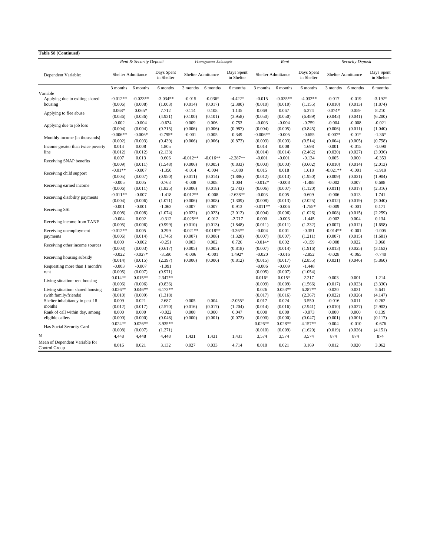| <b>Table S8 (Continued)</b>                     |            |                         |                          |            |                           |                          |            |                           |                          |                    |          |                          |
|-------------------------------------------------|------------|-------------------------|--------------------------|------------|---------------------------|--------------------------|------------|---------------------------|--------------------------|--------------------|----------|--------------------------|
|                                                 |            | Rent & Security Deposit |                          |            | Homogeneous Subsample     |                          |            | Rent                      |                          | Security Deposit   |          |                          |
| Dependent Variable:                             |            | Shelter Admittance      | Days Spent<br>in Shelter |            | <b>Shelter Admittance</b> | Days Spent<br>in Shelter |            | <b>Shelter Admittance</b> | Days Spent<br>in Shelter | Shelter Admittance |          | Days Spent<br>in Shelter |
|                                                 | 3 months   | 6 months                | 6 months                 | 3 months   | 6 months                  | 6 months                 | 3 months   | 6 months                  | 6 months                 | 3 months           | 6 months | 6 months                 |
| Variable                                        |            |                         |                          |            |                           |                          |            |                           |                          |                    |          |                          |
| Applying due to exiting shared                  | $-0.012**$ | $-0.023**$              | $-3.034**$               | $-0.015$   | $-0.036*$                 | $-4.422*$                | $-0.015$   | $-0.035**$                | $-4.032**$               | $-0.017$           | $-0.019$ | $-3.192*$                |
| housing                                         | (0.006)    | (0.008)                 | (1.003)                  | (0.014)    | (0.017)                   | (2.380)                  | (0.010)    | (0.010)                   | (1.155)                  | (0.010)            | (0.013)  | (1.874)                  |
| Applying to flee abuse                          | $0.068*$   | $0.065*$                | 7.712                    | 0.114      | 0.108                     | 1.135                    | 0.069      | 0.067                     | 6.374                    | $0.074*$           | 0.059    | 8.210                    |
|                                                 | (0.036)    | (0.036)                 | (4.931)                  | (0.100)    | (0.101)                   | (3.958)                  | (0.050)    | (0.050)                   | (6.489)                  | (0.043)            | (0.041)  | (6.200)                  |
| Applying due to job loss                        | $-0.002$   | $-0.004$                | $-0.674$                 | 0.009      | 0.006                     | 0.753                    | $-0.003$   | $-0.004$                  | $-0.759$                 | $-0.004$           | $-0.008$ | $-0.021$                 |
|                                                 | (0.004)    | (0.004)                 | (0.715)                  | (0.006)    | (0.006)                   | (0.987)                  | (0.004)    | (0.005)                   | (0.845)                  | (0.006)            | (0.011)  | (1.040)                  |
| Monthly income (in thousands)                   | $-0.006**$ | $-0.006*$               | $-0.795*$                | $-0.001$   | 0.005                     | 0.349                    | $-0.006**$ | $-0.005$                  | $-0.655$                 | $-0.007*$          | $-0.01*$ | $-1.36*$                 |
|                                                 | (0.002)    | (0.003)                 | (0.439)                  | (0.006)    | (0.006)                   | (0.873)                  | (0.003)    | (0.003)                   | (0.514)                  | (0.004)            | (0.005)  | (0.758)                  |
| Income greater than twice poverty               | 0.014      | 0.008                   | 1.805                    |            |                           |                          | 0.014      | 0.008                     | 1.698                    | 0.001              | $-0.015$ | $-1.090$                 |
| line                                            | (0.012)    | (0.012)                 | (2.133)                  |            |                           |                          | (0.014)    | (0.014)                   | (2.462)                  | (0.020)            | (0.027)  | (3.936)                  |
| Receiving SNAP benefits                         | 0.007      | 0.013                   | 0.606                    | $-0.012**$ | $-0.016**$                | $-2.287**$               | $-0.001$   | $-0.001$                  | $-0.134$                 | 0.005              | 0.000    | $-0.353$                 |
|                                                 | (0.009)    | (0.011)                 | (1.548)                  | (0.006)    | (0.005)                   | (0.833)                  | (0.003)    | (0.003)                   | (0.602)                  | (0.010)            | (0.014)  | (2.013)                  |
|                                                 | $-0.01**$  | $-0.007$                | $-1.350$                 | $-0.014$   | $-0.004$                  | $-1.080$                 | 0.015      | 0.018                     | 1.618                    | $-0.021**$         | $-0.001$ | $-1.919$                 |
| Receiving child support                         | (0.005)    | (0.007)                 | (0.950)                  | (0.011)    | (0.014)                   | (1.886)                  | (0.012)    | (0.013)                   | (1.950)                  | (0.009)            | (0.021)  | (1.904)                  |
|                                                 | $-0.005$   | 0.005                   | 0.763                    | $-0.008$   | 0.008                     | 1.004                    | $-0.012*$  | $-0.008$                  | $-1.488$                 | $-0.002$           | 0.007    | 0.688                    |
| Receiving earned income                         | (0.006)    | (0.011)                 | (1.825)                  | (0.006)    | (0.018)                   | (2.743)                  | (0.006)    | (0.007)                   | (1.120)                  | (0.011)            | (0.017)  | (2.316)                  |
|                                                 | $-0.011**$ | $-0.007$                | $-1.418$                 | $-0.012**$ | $-0.008$                  | $-2.638**$               | $-0.003$   | 0.005                     | 0.609                    | $-0.006$           | 0.013    | 1.741                    |
| Receiving disability payments                   | (0.004)    | (0.006)                 | (1.071)                  | (0.006)    | (0.008)                   | (1.309)                  | (0.008)    | (0.013)                   | (2.025)                  | (0.012)            | (0.019)  | (3.040)                  |
|                                                 | $-0.001$   | $-0.001$                | $-1.063$                 | 0.007      | 0.007                     | 0.913                    | $-0.011**$ | $-0.006$                  | $-1.755*$                | $-0.009$           | $-0.001$ | 0.171                    |
| Receiving SSI                                   | (0.008)    | (0.008)                 | (1.074)                  | (0.022)    | (0.023)                   | (3.012)                  | (0.004)    | (0.006)                   | (1.026)                  | (0.008)            | (0.015)  | (2.259)                  |
|                                                 | $-0.004$   | 0.002                   | $-0.312$                 | $-0.025**$ | $-0.012$                  | $-2.717$                 | 0.000      | $-0.003$                  | $-1.445$                 | $-0.002$           | 0.004    | 0.134                    |
| Receiving income from TANF                      | (0.005)    | (0.006)                 | (0.999)                  | (0.010)    | (0.013)                   | (1.848)                  | (0.011)    | (0.011)                   | (1.332)                  | (0.007)            | (0.012)  | (1.658)                  |
| Receiving unemployment                          | $-0.012**$ | 0.005                   | 0.299                    | $-0.021**$ | $-0.018**$                | $-3.36**$                | $-0.004$   | 0.001                     | $-0.351$                 | $-0.014**$         | $-0.001$ | $-1.005$                 |
| payments                                        | (0.006)    | (0.014)                 | (1.745)                  | (0.007)    | (0.008)                   | (1.328)                  | (0.007)    | (0.007)                   | (1.211)                  | (0.007)            | (0.015)  | (1.681)                  |
|                                                 | 0.000      | $-0.002$                | $-0.251$                 | 0.003      | 0.002                     | 0.726                    | $-0.014*$  | 0.002                     | $-0.159$                 | $-0.008$           | 0.022    | 3.068                    |
| Receiving other income sources                  | (0.003)    | (0.003)                 | (0.617)                  | (0.005)    | (0.005)                   | (0.818)                  | (0.007)    | (0.014)                   | (1.916)                  | (0.013)            | (0.025)  | (3.163)                  |
|                                                 | $-0.022$   | $-0.027*$               | $-3.590$                 | $-0.006$   | $-0.001$                  | 1.492*                   | $-0.020$   | $-0.016$                  | $-2.852$                 | $-0.028$           | $-0.065$ | $-7.740$                 |
| Receiving housing subsidy                       | (0.014)    | (0.015)                 | (2.397)                  | (0.006)    | (0.006)                   | (0.812)                  | (0.015)    | (0.017)                   | (2.855)                  | (0.031)            | (0.046)  | (5.860)                  |
| Requesting more than 1 month's                  | $-0.003$   | $-0.007$                | $-1.091$                 |            |                           |                          | $-0.006$   | $-0.009$                  | $-1.448$                 |                    |          |                          |
| rent                                            | (0.005)    | (0.007)                 | (0.971)                  |            |                           |                          | (0.005)    | (0.007)                   | (1.054)                  |                    |          |                          |
|                                                 | $0.014**$  | $0.015**$               | 2.347**                  |            |                           |                          | $0.016*$   | $0.015*$                  | 2.217                    | 0.003              | 0.001    | 1.214                    |
| Living situation: rent housing                  | (0.006)    | (0.006)                 | (0.836)                  |            |                           |                          | (0.009)    | (0.009)                   | (1.566)                  | (0.017)            | (0.023)  | (3.330)                  |
| Living situation: shared housing                | $0.026**$  | $0.046**$               | $6.173**$                |            |                           |                          | 0.026      | $0.053**$                 | 6.287**                  | 0.020              | 0.031    | 5.641                    |
| (with family/friends)                           | (0.010)    | (0.009)                 | (1.318)                  |            |                           |                          | (0.017)    | (0.016)                   | (2.367)                  | (0.022)            | (0.026)  | (4.147)                  |
| Shelter inhabitancy in past 18                  | 0.009      | 0.021                   | 2.687                    | 0.005      | 0.004                     | $-2.055*$                | 0.017      | 0.024                     | 3.550                    | $-0.016$           | 0.011    | 0.262                    |
| months                                          | (0.012)    | (0.017)                 | (2.570)                  | (0.016)    | (0.017)                   | (1.204)                  | (0.014)    | (0.016)                   | (2.941)                  | (0.010)            | (0.027)  | (2.903)                  |
| Rank of call within day, among                  | 0.000      | 0.000                   | $-0.022$                 | 0.000      | 0.000                     | 0.047                    | 0.000      | 0.000                     | $-0.073$                 | 0.000              | 0.000    | 0.139                    |
| eligible callers                                | (0.000)    | (0.000)                 | (0.046)                  | (0.000)    | (0.001)                   | (0.073)                  | (0.000)    | (0.000)                   | (0.047)                  | (0.001)            | (0.001)  | (0.117)                  |
|                                                 | $0.024**$  | $0.026**$               | 3.935**                  |            |                           |                          | $0.026**$  | $0.028**$                 | 4.157**                  | 0.004              | $-0.010$ | $-0.676$                 |
| Has Social Security Card                        | (0.008)    | (0.007)                 | (1.271)                  |            |                           |                          | (0.010)    | (0.009)                   | (1.620)                  | (0.019)            | (0.026)  | (4.151)                  |
| N                                               | 4,448      | 4,448                   | 4,448                    | 1,431      | 1,431                     | 1,431                    | 3,574      | 3,574                     | 3,574                    | 874                | 874      | 874                      |
| Mean of Dependent Variable for<br>Control Group | 0.016      | 0.021                   | 3.132                    | 0.027      | 0.033                     | 4.714                    | 0.018      | 0.021                     | 3.169                    | 0.012              | 0.020    | 3.062                    |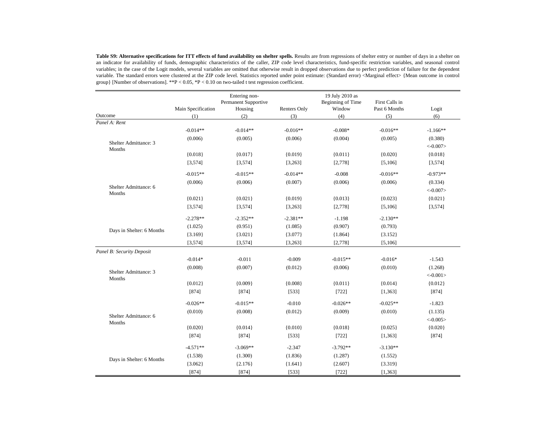Table S9: Alternative specifications for ITT effects of fund availability on shelter spells. Results are from regressions of shelter entry or number of days in a shelter on an indicator for availability of funds, demographic characteristics of the caller, ZIP code level characteristics, fund-specific restriction variables, and seasonal control variables; in the case of the Logit models, several variables are omitted that otherwise result in dropped observations due to perfect prediction of failure for the dependent variable. The standard errors were clustered at the ZIP code level. Statistics reported under point estimate: (Standard error) <Marginal effect> {Mean outcome in control group} [Number of observations]. \*\*P < 0.05, \*P < 0.10 on two-tailed t test regression coefficient.

|                                 | Main Specification | Entering non-<br>Permanent Supportive<br>Housing | Renters Only | 19 July 2010 as<br>Beginning of Time<br>Window | First Calls in<br>Past 6 Months | Logit      |
|---------------------------------|--------------------|--------------------------------------------------|--------------|------------------------------------------------|---------------------------------|------------|
| Outcome                         | (1)                | (2)                                              | (3)          | (4)                                            | (5)                             | (6)        |
| Panel A: Rent                   |                    |                                                  |              |                                                |                                 |            |
|                                 | $-0.014**$         | $-0.014**$                                       | $-0.016**$   | $-0.008*$                                      | $-0.016**$                      | $-1.166**$ |
| Shelter Admittance: 3           | (0.006)            | (0.005)                                          | (0.006)      | (0.004)                                        | (0.005)                         | (0.380)    |
| Months                          |                    |                                                  |              |                                                |                                 | $< -0.007$ |
|                                 | ${0.018}$          | ${0.017}$                                        | ${0.019}$    | ${0.011}$                                      | ${0.020}$                       | ${0.018}$  |
|                                 | [3, 574]           | [3, 574]                                         | [3,263]      | [2,778]                                        | [5, 106]                        | [3, 574]   |
|                                 | $-0.015**$         | $-0.015**$                                       | $-0.014**$   | $-0.008$                                       | $-0.016**$                      | $-0.973**$ |
|                                 | (0.006)            | (0.006)                                          | (0.007)      | (0.006)                                        | (0.006)                         | (0.334)    |
| Shelter Admittance: 6<br>Months |                    |                                                  |              |                                                |                                 | $< -0.007$ |
|                                 | ${0.021}$          | ${0.021}$                                        | ${0.019}$    | ${0.013}$                                      | ${0.023}$                       | ${0.021}$  |
|                                 | [3,574]            | [3,574]                                          | [3,263]      | [2,778]                                        | [5, 106]                        | [3, 574]   |
|                                 | $-2.278**$         | $-2.352**$                                       | $-2.381**$   | $-1.198$                                       | $-2.130**$                      |            |
|                                 | (1.025)            | (0.951)                                          | (1.085)      | (0.907)                                        | (0.793)                         |            |
| Days in Shelter: 6 Months       | ${3.169}$          | ${3.021}$                                        | ${3.077}$    | ${1.864}$                                      | ${3.152}$                       |            |
|                                 | [3, 574]           | [3, 574]                                         | [3,263]      | [2,778]                                        | [5, 106]                        |            |
| Panel B: Security Deposit       |                    |                                                  |              |                                                |                                 |            |
|                                 | $-0.014*$          | $-0.011$                                         | $-0.009$     | $-0.015**$                                     | $-0.016*$                       | $-1.543$   |
| Shelter Admittance: 3           | (0.008)            | (0.007)                                          | (0.012)      | (0.006)                                        | (0.010)                         | (1.268)    |
| Months                          |                    |                                                  |              |                                                |                                 | $< -0.001$ |
|                                 | ${0.012}$          | ${0.009}$                                        | ${0.008}$    | ${0.011}$                                      | ${0.014}$                       | ${0.012}$  |
|                                 | [874]              | [874]                                            | [533]        | [722]                                          | [1, 363]                        | [874]      |
|                                 | $-0.026**$         | $-0.015**$                                       | $-0.010$     | $-0.026**$                                     | $-0.025**$                      | $-1.823$   |
|                                 | (0.010)            | (0.008)                                          | (0.012)      | (0.009)                                        | (0.010)                         | (1.135)    |
| Shelter Admittance: 6<br>Months |                    |                                                  |              |                                                |                                 | $< -0.005$ |
|                                 | ${0.020}$          | ${0.014}$                                        | ${0.010}$    | ${0.018}$                                      | ${0.025}$                       | ${0.020}$  |
|                                 | [874]              | [874]                                            | [533]        | $[722]$                                        | [1, 363]                        | [874]      |
|                                 | $-4.571**$         | $-3.069**$                                       | $-2.347$     | $-3.792**$                                     | $-3.130**$                      |            |
|                                 | (1.538)            | (1.300)                                          | (1.836)      | (1.287)                                        | (1.552)                         |            |
| Days in Shelter: 6 Months       | ${3.062}$          | ${2.176}$                                        | ${1.641}$    | ${2.607}$                                      | ${3.319}$                       |            |
|                                 | [874]              | [874]                                            | [533]        | [722]                                          | [1, 363]                        |            |